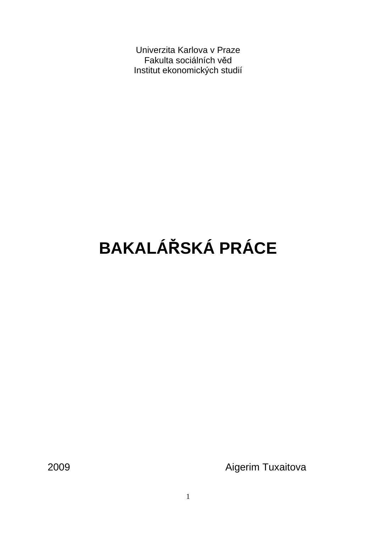Univerzita Karlova v Praze Fakulta sociálních věd Institut ekonomických studií

# **BAKALÁ**Ř**SKÁ PRÁCE**

2009 **Aigerim Tuxaitova**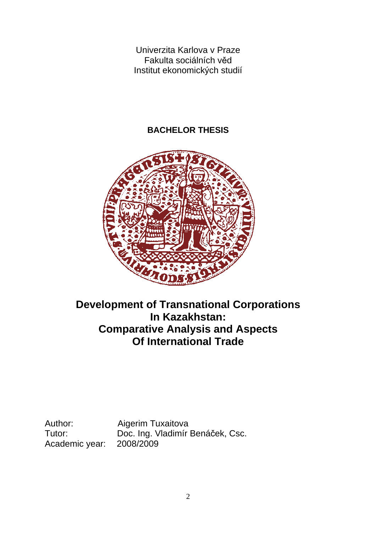Univerzita Karlova v Praze Fakulta sociálních věd Institut ekonomických studií

### **BACHELOR THESIS**



### **Development of Transnational Corporations In Kazakhstan: Comparative Analysis and Aspects Of International Trade**

Academic year:

Author: Aigerim Tuxaitova Tutor: Doc. Ing. Vladimír Benáček, Csc.<br>Academic vear: 2008/2009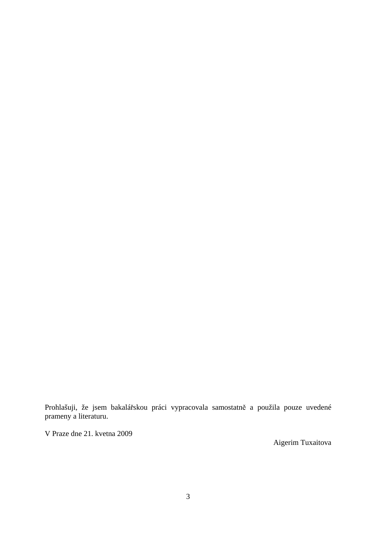Prohlašuji, že jsem bakalářskou práci vypracovala samostatně a použila pouze uvedené prameny a literaturu.

V Praze dne 21. kvetna 2009

Aigerim Tuxaitova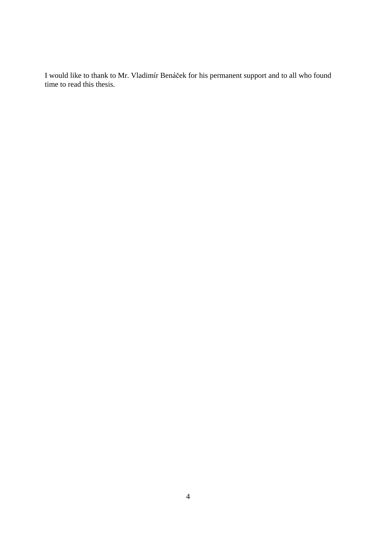I would like to thank to Mr. Vladimír Benáček for his permanent support and to all who found time to read this thesis.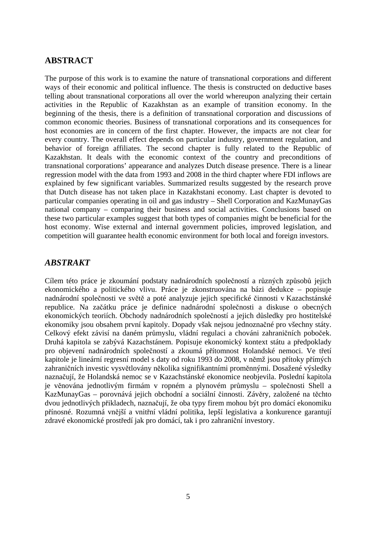### **ABSTRACT**

The purpose of this work is to examine the nature of transnational corporations and different ways of their economic and political influence. The thesis is constructed on deductive bases telling about transnational corporations all over the world whereupon analyzing their certain activities in the Republic of Kazakhstan as an example of transition economy. In the beginning of the thesis, there is a definition of transnational corporation and discussions of common economic theories. Business of transnational corporations and its consequences for host economies are in concern of the first chapter. However, the impacts are not clear for every country. The overall effect depends on particular industry, government regulation, and behavior of foreign affiliates. The second chapter is fully related to the Republic of Kazakhstan. It deals with the economic context of the country and preconditions of transnational corporations' appearance and analyzes Dutch disease presence. There is a linear regression model with the data from 1993 and 2008 in the third chapter where FDI inflows are explained by few significant variables. Summarized results suggested by the research prove that Dutch disease has not taken place in Kazakhstani economy. Last chapter is devoted to particular companies operating in oil and gas industry – Shell Corporation and KazMunayGas national company – comparing their business and social activities. Conclusions based on these two particular examples suggest that both types of companies might be beneficial for the host economy. Wise external and internal government policies, improved legislation, and competition will guarantee health economic environment for both local and foreign investors.

### *ABSTRAKT*

Cílem této práce je zkoumání podstaty nadnárodních společností a různých způsobů jejich ekonomického a politického vlivu. Práce je zkonstruována na bázi dedukce – popisuje nadnárodní společnosti ve světě a poté analyzuje jejich specifické činnosti v Kazachstánské republice. Na začátku práce je definice nadnárodní společnosti a diskuse o obecných ekonomických teoriích. Obchody nadnárodních společností a jejich důsledky pro hostitelské ekonomiky jsou obsahem první kapitoly. Dopady však nejsou jednoznačné pro všechny státy. Celkový efekt závisí na daném průmyslu, vládní regulaci a chováni zahraničních poboček. Druhá kapitola se zabývá Kazachstánem. Popisuje ekonomický kontext státu a předpoklady pro objevení nadnárodních společností a zkoumá přítomnost Holandské nemoci. Ve třetí kapitole je lineární regresní model s daty od roku 1993 do 2008, v němž jsou přítoky přímých zahraničních investic vysvětlovány několika signifikantními proměnnými. Dosažené výsledky naznačují, že Holandská nemoc se v Kazachstánské ekonomice neobjevila. Poslední kapitola je věnována jednotlivým firmám v ropném a plynovém průmyslu – společnosti Shell a KazMunayGas – porovnává jejich obchodní a sociální činnosti. Závěry, založené na těchto dvou jednotlivých přikladech, naznačují, že oba typy firem mohou být pro domácí ekonomiku přínosné. Rozumná vnější a vnitřní vládní politika, lepší legislativa a konkurence garantují zdravé ekonomické prostředí jak pro domácí, tak i pro zahraniční investory.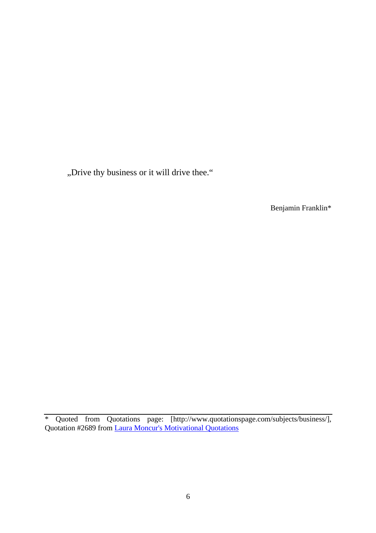"Drive thy business or it will drive thee."

Benjamin Franklin\*

<sup>\*</sup> Quoted from Quotations page: [http://www.quotationspage.com/subjects/business/], Quotation #2689 from *Laura Moncur's Motivational Quotations*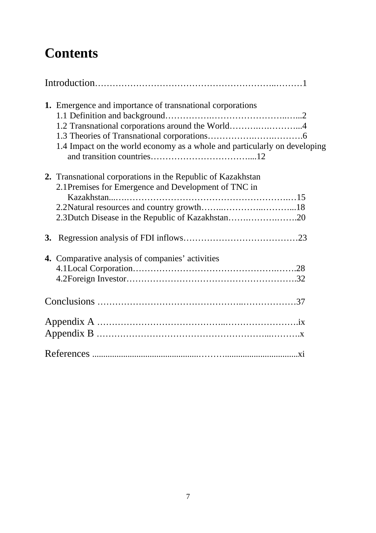# **Contents**

|           | 1. Emergence and importance of transnational corporations<br>1.2 Transnational corporations around the World4<br>1.4 Impact on the world economy as a whole and particularly on developing |
|-----------|--------------------------------------------------------------------------------------------------------------------------------------------------------------------------------------------|
|           | 2. Transnational corporations in the Republic of Kazakhstan<br>2.1 Premises for Emergence and Development of TNC in<br>2.3 Dutch Disease in the Republic of Kazakhstan20                   |
| <b>3.</b> |                                                                                                                                                                                            |
|           | 4. Comparative analysis of companies' activities                                                                                                                                           |
|           |                                                                                                                                                                                            |
|           |                                                                                                                                                                                            |
|           |                                                                                                                                                                                            |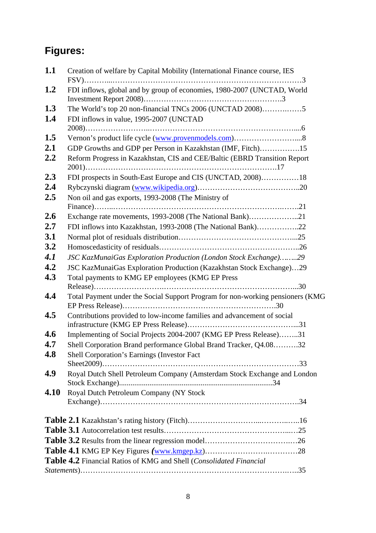# **Figures:**

| 1.1  | Creation of welfare by Capital Mobility (International Finance course, IES     |
|------|--------------------------------------------------------------------------------|
| 1.2  | FDI inflows, global and by group of economies, 1980-2007 (UNCTAD, World        |
| 1.3  | The World's top 20 non-financial TNCs 2006 (UNCTAD 2008)5                      |
| 1.4  | FDI inflows in value, 1995-2007 (UNCTAD                                        |
|      |                                                                                |
| 1.5  | Vernon's product life cycle (www.provenmodels.com)8                            |
| 2.1  | GDP Growths and GDP per Person in Kazakhstan (IMF, Fitch)15                    |
| 2.2  | Reform Progress in Kazakhstan, CIS and CEE/Baltic (EBRD Transition Report      |
| 2.3  | FDI prospects in South-East Europe and CIS (UNCTAD, 2008)18                    |
| 2.4  |                                                                                |
| 2.5  | Non oil and gas exports, 1993-2008 (The Ministry of                            |
|      |                                                                                |
| 2.6  | Exchange rate movements, 1993-2008 (The National Bank)21                       |
| 2.7  | FDI inflows into Kazakhstan, 1993-2008 (The National Bank)22                   |
| 3.1  |                                                                                |
| 3.2  |                                                                                |
| 4.1  | JSC KazMunaiGas Exploration Production (London Stock Exchange)29               |
| 4.2  | JSC KazMunaiGas Exploration Production (Kazakhstan Stock Exchange)29           |
| 4.3  | Total payments to KMG EP employees (KMG EP Press                               |
|      |                                                                                |
| 4.4  | Total Payment under the Social Support Program for non-working pensioners (KMG |
| 4.5  | Contributions provided to low-income families and advancement of social        |
| 4.6  | Implementing of Social Projects 2004-2007 (KMG EP Press Release)31             |
| 4.7  | Shell Corporation Brand performance Global Brand Tracker, Q4.0832              |
| 4.8  | Shell Corporation's Earnings (Investor Fact                                    |
| 4.9  | Royal Dutch Shell Petroleum Company (Amsterdam Stock Exchange and London       |
| 4.10 | Royal Dutch Petroleum Company (NY Stock                                        |
|      |                                                                                |
|      |                                                                                |
|      |                                                                                |
|      |                                                                                |
|      | Table 4.2 Financial Ratios of KMG and Shell (Consolidated Financial            |
|      |                                                                                |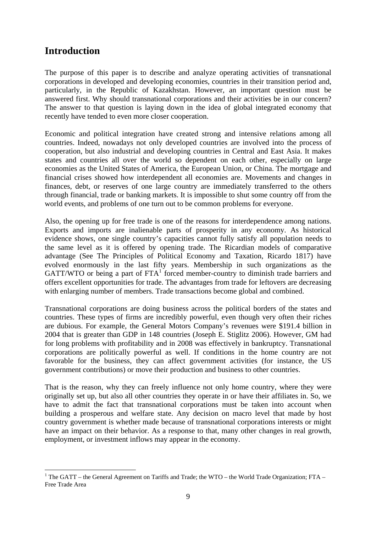### **Introduction**

The purpose of this paper is to describe and analyze operating activities of transnational corporations in developed and developing economies, countries in their transition period and, particularly, in the Republic of Kazakhstan. However, an important question must be answered first. Why should transnational corporations and their activities be in our concern? The answer to that question is laying down in the idea of global integrated economy that recently have tended to even more closer cooperation.

Economic and political integration have created strong and intensive relations among all countries. Indeed, nowadays not only developed countries are involved into the process of cooperation, but also industrial and developing countries in Central and East Asia. It makes states and countries all over the world so dependent on each other, especially on large economies as the United States of America, the European Union, or China. The mortgage and financial crises showed how interdependent all economies are. Movements and changes in finances, debt, or reserves of one large country are immediately transferred to the others through financial, trade or banking markets. It is impossible to shut some country off from the world events, and problems of one turn out to be common problems for everyone.

Also, the opening up for free trade is one of the reasons for interdependence among nations. Exports and imports are inalienable parts of prosperity in any economy. As historical evidence shows, one single country's capacities cannot fully satisfy all population needs to the same level as it is offered by opening trade. The Ricardian models of comparative advantage (See The Principles of Political Economy and Taxation, Ricardo 1817) have evolved enormously in the last fifty years. Membership in such organizations as the GATT/WTO or being a part of  $FTA<sup>1</sup>$  forced member-country to diminish trade barriers and offers excellent opportunities for trade. The advantages from trade for leftovers are decreasing with enlarging number of members. Trade transactions become global and combined.

Transnational corporations are doing business across the political borders of the states and countries. These types of firms are incredibly powerful, even though very often their riches are dubious. For example, the General Motors Company's revenues were \$191.4 billion in 2004 that is greater than GDP in 148 countries (Joseph E. Stiglitz 2006). However, GM had for long problems with profitability and in 2008 was effectively in bankruptcy. Transnational corporations are politically powerful as well. If conditions in the home country are not favorable for the business, they can affect government activities (for instance, the US government contributions) or move their production and business to other countries.

That is the reason, why they can freely influence not only home country, where they were originally set up, but also all other countries they operate in or have their affiliates in. So, we have to admit the fact that transnational corporations must be taken into account when building a prosperous and welfare state. Any decision on macro level that made by host country government is whether made because of transnational corporations interests or might have an impact on their behavior. As a response to that, many other changes in real growth, employment, or investment inflows may appear in the economy.

 $\overline{a}$ <sup>1</sup> The GATT – the General Agreement on Tariffs and Trade; the WTO – the World Trade Organization; FTA – Free Trade Area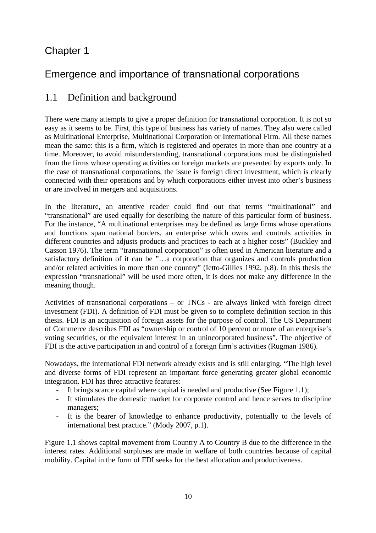### Chapter 1

### Emergence and importance of transnational corporations

### 1.1 Definition and background

There were many attempts to give a proper definition for transnational corporation. It is not so easy as it seems to be. First, this type of business has variety of names. They also were called as Multinational Enterprise, Multinational Corporation or International Firm. All these names mean the same: this is a firm, which is registered and operates in more than one country at a time. Moreover, to avoid misunderstanding, transnational corporations must be distinguished from the firms whose operating activities on foreign markets are presented by exports only. In the case of transnational corporations, the issue is foreign direct investment, which is clearly connected with their operations and by which corporations either invest into other's business or are involved in mergers and acquisitions.

In the literature, an attentive reader could find out that terms "multinational" and "transnational" are used equally for describing the nature of this particular form of business. For the instance, "A multinational enterprises may be defined as large firms whose operations and functions span national borders, an enterprise which owns and controls activities in different countries and adjusts products and practices to each at a higher costs" (Buckley and Casson 1976). The term "transnational corporation" is often used in American literature and a satisfactory definition of it can be "…a corporation that organizes and controls production and/or related activities in more than one country" (Ietto-Gillies 1992, p.8). In this thesis the expression "transnational" will be used more often, it is does not make any difference in the meaning though.

Activities of transnational corporations – or TNCs - are always linked with foreign direct investment (FDI). A definition of FDI must be given so to complete definition section in this thesis. FDI is an acquisition of foreign assets for the purpose of control. The US Department of Commerce describes FDI as "ownership or control of 10 percent or more of an enterprise's voting securities, or the equivalent interest in an unincorporated business". The objective of FDI is the active participation in and control of a foreign firm's activities (Rugman 1986).

Nowadays, the international FDI network already exists and is still enlarging. "The high level and diverse forms of FDI represent an important force generating greater global economic integration. FDI has three attractive features:

- It brings scarce capital where capital is needed and productive (See Figure 1.1);
- It stimulates the domestic market for corporate control and hence serves to discipline managers;
- It is the bearer of knowledge to enhance productivity, potentially to the levels of international best practice." (Mody 2007, p.1).

Figure 1.1 shows capital movement from Country A to Country B due to the difference in the interest rates. Additional surpluses are made in welfare of both countries because of capital mobility. Capital in the form of FDI seeks for the best allocation and productiveness.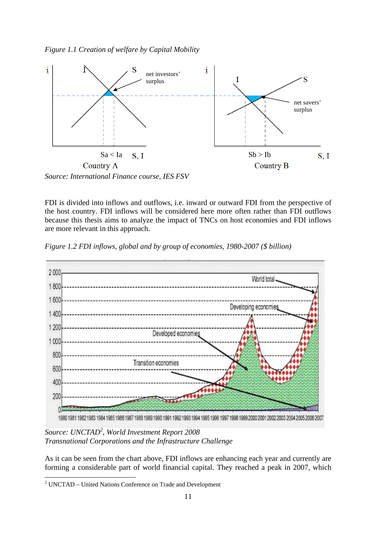



FDI is divided into inflows and outflows, i.e. inward or outward FDI from the perspective of the host country. FDI inflows will be considered here more often rather than FDI outflows because this thesis aims to analyze the impact of TNCs on host economies and FDI inflows are more relevant in this approach.

*Figure 1.2 FDI inflows, global and by group of economies, 1980-2007 (\$ billion)* 



*Source: UNCTAD<sup>2</sup> , World Investment Report 2008 Transnational Corporations and the Infrastructure Challenge*

As it can be seen from the chart above, FDI inflows are enhancing each year and currently are forming a considerable part of world financial capital. They reached a peak in 2007, which

 2 UNCTAD – United Nations Conference on Trade and Development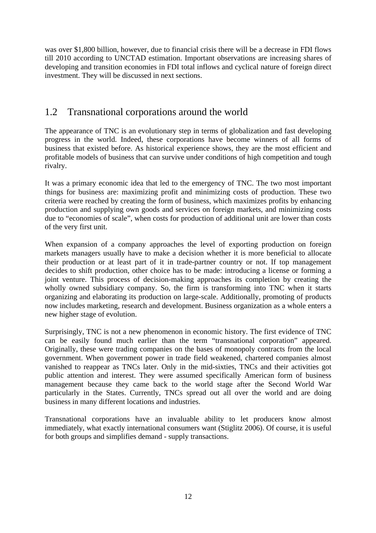was over \$1,800 billion, however, due to financial crisis there will be a decrease in FDI flows till 2010 according to UNCTAD estimation. Important observations are increasing shares of developing and transition economies in FDI total inflows and cyclical nature of foreign direct investment. They will be discussed in next sections.

### 1.2 Transnational corporations around the world

The appearance of TNC is an evolutionary step in terms of globalization and fast developing progress in the world. Indeed, these corporations have become winners of all forms of business that existed before. As historical experience shows, they are the most efficient and profitable models of business that can survive under conditions of high competition and tough rivalry.

It was a primary economic idea that led to the emergency of TNC. The two most important things for business are: maximizing profit and minimizing costs of production. These two criteria were reached by creating the form of business, which maximizes profits by enhancing production and supplying own goods and services on foreign markets, and minimizing costs due to "economies of scale", when costs for production of additional unit are lower than costs of the very first unit.

When expansion of a company approaches the level of exporting production on foreign markets managers usually have to make a decision whether it is more beneficial to allocate their production or at least part of it in trade-partner country or not. If top management decides to shift production, other choice has to be made: introducing a license or forming a joint venture. This process of decision-making approaches its completion by creating the wholly owned subsidiary company. So, the firm is transforming into TNC when it starts organizing and elaborating its production on large-scale. Additionally, promoting of products now includes marketing, research and development. Business organization as a whole enters a new higher stage of evolution.

Surprisingly, TNC is not a new phenomenon in economic history. The first evidence of TNC can be easily found much earlier than the term "transnational corporation" appeared. Originally, these were trading companies on the bases of monopoly contracts from the local government. When government power in trade field weakened, chartered companies almost vanished to reappear as TNCs later. Only in the mid-sixties, TNCs and their activities got public attention and interest. They were assumed specifically American form of business management because they came back to the world stage after the Second World War particularly in the States. Currently, TNCs spread out all over the world and are doing business in many different locations and industries.

Transnational corporations have an invaluable ability to let producers know almost immediately, what exactly international consumers want (Stiglitz 2006). Of course, it is useful for both groups and simplifies demand - supply transactions.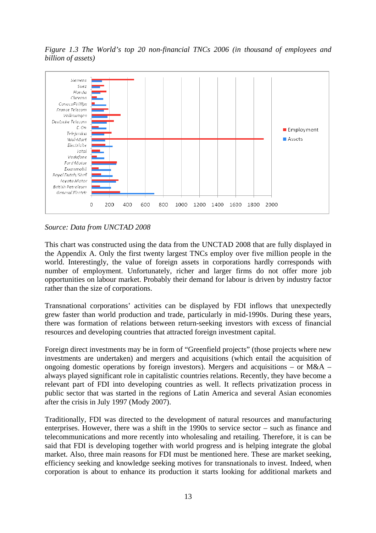*Figure 1.3 The World's top 20 non-financial TNCs 2006 (in thousand of employees and billion of assets)* 



*Source: Data from UNCTAD 2008* 

This chart was constructed using the data from the UNCTAD 2008 that are fully displayed in the Appendix A. Only the first twenty largest TNCs employ over five million people in the world. Interestingly, the value of foreign assets in corporations hardly corresponds with number of employment. Unfortunately, richer and larger firms do not offer more job opportunities on labour market. Probably their demand for labour is driven by industry factor rather than the size of corporations.

Transnational corporations' activities can be displayed by FDI inflows that unexpectedly grew faster than world production and trade, particularly in mid-1990s. During these years, there was formation of relations between return-seeking investors with excess of financial resources and developing countries that attracted foreign investment capital.

Foreign direct investments may be in form of "Greenfield projects" (those projects where new investments are undertaken) and mergers and acquisitions (which entail the acquisition of ongoing domestic operations by foreign investors). Mergers and acquisitions – or  $M&A$  – always played significant role in capitalistic countries relations. Recently, they have become a relevant part of FDI into developing countries as well. It reflects privatization process in public sector that was started in the regions of Latin America and several Asian economies after the crisis in July 1997 (Mody 2007).

Traditionally, FDI was directed to the development of natural resources and manufacturing enterprises. However, there was a shift in the 1990s to service sector – such as finance and telecommunications and more recently into wholesaling and retailing. Therefore, it is can be said that FDI is developing together with world progress and is helping integrate the global market. Also, three main reasons for FDI must be mentioned here. These are market seeking, efficiency seeking and knowledge seeking motives for transnationals to invest. Indeed, when corporation is about to enhance its production it starts looking for additional markets and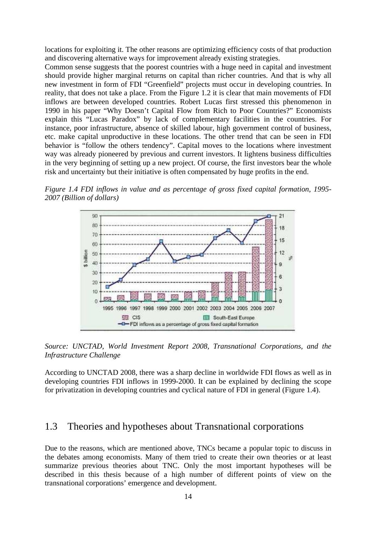locations for exploiting it. The other reasons are optimizing efficiency costs of that production and discovering alternative ways for improvement already existing strategies.

Common sense suggests that the poorest countries with a huge need in capital and investment should provide higher marginal returns on capital than richer countries. And that is why all new investment in form of FDI "Greenfield" projects must occur in developing countries. In reality, that does not take a place. From the Figure 1.2 it is clear that main movements of FDI inflows are between developed countries. Robert Lucas first stressed this phenomenon in 1990 in his paper "Why Doesn't Capital Flow from Rich to Poor Countries?" Economists explain this "Lucas Paradox" by lack of complementary facilities in the countries. For instance, poor infrastructure, absence of skilled labour, high government control of business, etc. make capital unproductive in these locations. The other trend that can be seen in FDI behavior is "follow the others tendency". Capital moves to the locations where investment way was already pioneered by previous and current investors. It lightens business difficulties in the very beginning of setting up a new project. Of course, the first investors bear the whole risk and uncertainty but their initiative is often compensated by huge profits in the end.

*Figure 1.4 FDI inflows in value and as percentage of gross fixed capital formation, 1995- 2007 (Billion of dollars)*



*Source: UNCTAD, World Investment Report 2008, Transnational Corporations, and the Infrastructure Challenge*

According to UNCTAD 2008, there was a sharp decline in worldwide FDI flows as well as in developing countries FDI inflows in 1999-2000. It can be explained by declining the scope for privatization in developing countries and cyclical nature of FDI in general (Figure 1.4).

### 1.3 Theories and hypotheses about Transnational corporations

Due to the reasons, which are mentioned above, TNCs became a popular topic to discuss in the debates among economists. Many of them tried to create their own theories or at least summarize previous theories about TNC. Only the most important hypotheses will be described in this thesis because of a high number of different points of view on the transnational corporations' emergence and development.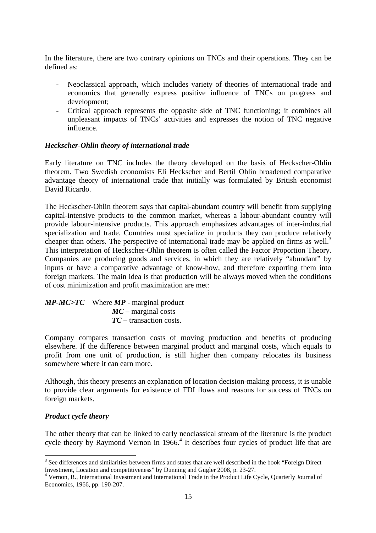In the literature, there are two contrary opinions on TNCs and their operations. They can be defined as:

- Neoclassical approach, which includes variety of theories of international trade and economics that generally express positive influence of TNCs on progress and development;
- Critical approach represents the opposite side of TNC functioning; it combines all unpleasant impacts of TNCs' activities and expresses the notion of TNC negative influence.

#### *Heckscher-Ohlin theory of international trade*

Early literature on TNC includes the theory developed on the basis of Heckscher-Ohlin theorem. Two Swedish economists Eli Heckscher and Bertil Ohlin broadened comparative advantage theory of international trade that initially was formulated by British economist David Ricardo.

The Heckscher-Ohlin theorem says that capital-abundant country will benefit from supplying capital-intensive products to the common market, whereas a labour-abundant country will provide labour-intensive products. This approach emphasizes advantages of inter-industrial specialization and trade. Countries must specialize in products they can produce relatively cheaper than others. The perspective of international trade may be applied on firms as well.<sup>3</sup> This interpretation of Heckscher-Ohlin theorem is often called the Factor Proportion Theory. Companies are producing goods and services, in which they are relatively "abundant" by inputs or have a comparative advantage of know-how, and therefore exporting them into foreign markets. The main idea is that production will be always moved when the conditions of cost minimization and profit maximization are met:

| $MP-MC > TC$ Where $MP$ - marginal product |
|--------------------------------------------|
| $MC$ – marginal costs                      |
| $TC$ – transaction costs.                  |

Company compares transaction costs of moving production and benefits of producing elsewhere. If the difference between marginal product and marginal costs, which equals to profit from one unit of production, is still higher then company relocates its business somewhere where it can earn more.

Although, this theory presents an explanation of location decision-making process, it is unable to provide clear arguments for existence of FDI flows and reasons for success of TNCs on foreign markets.

#### *Product cycle theory*

The other theory that can be linked to early neoclassical stream of the literature is the product cycle theory by Raymond Vernon in 1966.<sup>4</sup> It describes four cycles of product life that are

<sup>&</sup>lt;sup>3</sup> See differences and similarities between firms and states that are well described in the book "Foreign Direct" Investment, Location and competitiveness" by Dunning and Gugler 2008, p. 23-27.

<sup>&</sup>lt;sup>4</sup> Vernon, R., International Investment and International Trade in the Product Life Cycle, Quarterly Journal of Economics, 1966, pp. 190-207.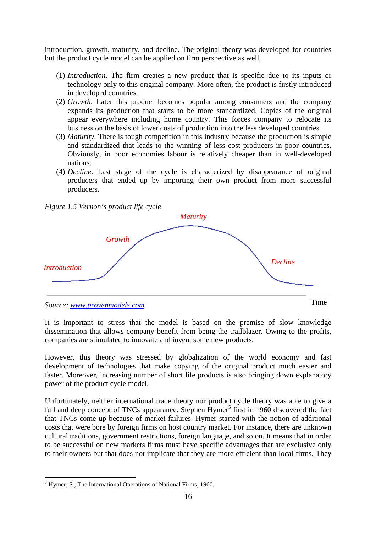introduction, growth, maturity, and decline. The original theory was developed for countries but the product cycle model can be applied on firm perspective as well.

- (1) *Introduction*. The firm creates a new product that is specific due to its inputs or technology only to this original company. More often, the product is firstly introduced in developed countries.
- (2) *Growth*. Later this product becomes popular among consumers and the company expands its production that starts to be more standardized. Copies of the original appear everywhere including home country. This forces company to relocate its business on the basis of lower costs of production into the less developed countries.
- (3) *Maturity*. There is tough competition in this industry because the production is simple and standardized that leads to the winning of less cost producers in poor countries. Obviously, in poor economies labour is relatively cheaper than in well-developed nations.
- (4) *Decline*. Last stage of the cycle is characterized by disappearance of original producers that ended up by importing their own product from more successful producers.

*Figure 1.5 Vernon's product life cycle*



It is important to stress that the model is based on the premise of slow knowledge dissemination that allows company benefit from being the trailblazer. Owing to the profits, companies are stimulated to innovate and invent some new products.

However, this theory was stressed by globalization of the world economy and fast development of technologies that make copying of the original product much easier and faster. Moreover, increasing number of short life products is also bringing down explanatory power of the product cycle model.

Unfortunately, neither international trade theory nor product cycle theory was able to give a full and deep concept of TNCs appearance. Stephen Hymer<sup>5</sup> first in 1960 discovered the fact that TNCs come up because of market failures. Hymer started with the notion of additional costs that were bore by foreign firms on host country market. For instance, there are unknown cultural traditions, government restrictions, foreign language, and so on. It means that in order to be successful on new markets firms must have specific advantages that are exclusive only to their owners but that does not implicate that they are more efficient than local firms. They

 5 Hymer, S., The International Operations of National Firms, 1960.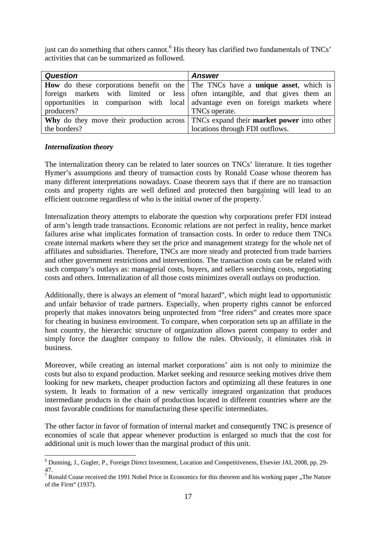just can do something that others cannot.<sup>6</sup> His theory has clarified two fundamentals of TNCs' activities that can be summarized as followed.

| <b>Question</b> | <b>Answer</b>                                                                                    |  |  |  |  |
|-----------------|--------------------------------------------------------------------------------------------------|--|--|--|--|
|                 | <b>How</b> do these corporations benefit on the The TNCs have a <b>unique asset</b> , which is   |  |  |  |  |
|                 | foreign markets with limited or less often intangible, and that gives them an                    |  |  |  |  |
|                 | opportunities in comparison with local advantage even on foreign markets where                   |  |  |  |  |
| producers?      | TNCs operate.                                                                                    |  |  |  |  |
|                 | <b>Why</b> do they move their production across TNCs expand their <b>market power</b> into other |  |  |  |  |
| the borders?    | locations through FDI outflows.                                                                  |  |  |  |  |

#### *Internalization theory*

The internalization theory can be related to later sources on TNCs' literature. It ties together Hymer's assumptions and theory of transaction costs by Ronald Coase whose theorem has many different interpretations nowadays. Coase theorem says that if there are no transaction costs and property rights are well defined and protected then bargaining will lead to an efficient outcome regardless of who is the initial owner of the property.<sup>7</sup>

Internalization theory attempts to elaborate the question why corporations prefer FDI instead of arm's length trade transactions. Economic relations are not perfect in reality, hence market failures arise what implicates formation of transaction costs. In order to reduce them TNCs create internal markets where they set the price and management strategy for the whole net of affiliates and subsidiaries. Therefore, TNCs are more steady and protected from trade barriers and other government restrictions and interventions. The transaction costs can be related with such company's outlays as: managerial costs, buyers, and sellers searching costs, negotiating costs and others. Internalization of all those costs minimizes overall outlays on production.

Additionally, there is always an element of "moral hazard", which might lead to opportunistic and unfair behavior of trade partners. Especially, when property rights cannot be enforced properly that makes innovators being unprotected from "free riders" and creates more space for cheating in business environment. To compare, when corporation sets up an affiliate in the host country, the hierarchic structure of organization allows parent company to order and simply force the daughter company to follow the rules. Obviously, it eliminates risk in business.

Moreover, while creating an internal market corporations' aim is not only to minimize the costs but also to expand production. Market seeking and resource seeking motives drive them looking for new markets, cheaper production factors and optimizing all these features in one system. It leads to formation of a new vertically integrated organization that produces intermediate products in the chain of production located in different countries where are the most favorable conditions for manufacturing these specific intermediates.

The other factor in favor of formation of internal market and consequently TNC is presence of economies of scale that appear whenever production is enlarged so much that the cost for additional unit is much lower than the marginal product of this unit.

 6 Dunning, J., Gugler, P., Foreign Direct Investment, Location and Competitiveness, Elsevier JAI, 2008, pp. 29- 47.

<sup>&</sup>lt;sup>7</sup> Ronald Coase received the 1991 Nobel Price in Economics for this theorem and his working paper "The Nature of the Firm" (1937).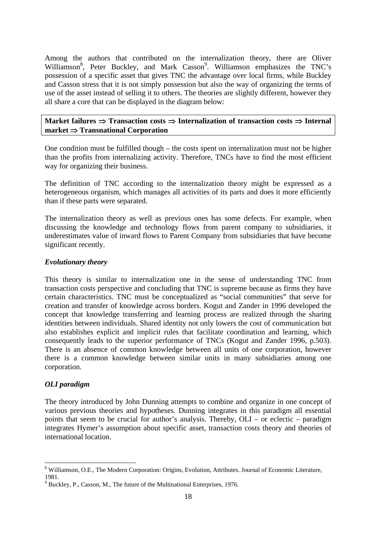Among the authors that contributed on the internalization theory, there are Oliver Williamson<sup>8</sup>, Peter Buckley, and Mark Casson<sup>9</sup>. Williamson emphasizes the TNC's possession of a specific asset that gives TNC the advantage over local firms, while Buckley and Casson stress that it is not simply possession but also the way of organizing the terms of use of the asset instead of selling it to others. The theories are slightly different, however they all share a core that can be displayed in the diagram below:

**Market failures** ⇒ **Transaction costs** ⇒ **Internalization of transaction costs** ⇒ **Internal market** ⇒ **Transnational Corporation** 

One condition must be fulfilled though – the costs spent on internalization must not be higher than the profits from internalizing activity. Therefore, TNCs have to find the most efficient way for organizing their business.

The definition of TNC according to the internalization theory might be expressed as a heterogeneous organism, which manages all activities of its parts and does it more efficiently than if these parts were separated.

The internalization theory as well as previous ones has some defects. For example, when discussing the knowledge and technology flows from parent company to subsidiaries, it underestimates value of inward flows to Parent Company from subsidiaries that have become significant recently.

#### *Evolutionary theory*

This theory is similar to internalization one in the sense of understanding TNC from transaction costs perspective and concluding that TNC is supreme because as firms they have certain characteristics. TNC must be conceptualized as "social communities" that serve for creation and transfer of knowledge across borders. Kogut and Zander in 1996 developed the concept that knowledge transferring and learning process are realized through the sharing identities between individuals. Shared identity not only lowers the cost of communication but also establishes explicit and implicit rules that facilitate coordination and learning, which consequently leads to the superior performance of TNCs (Kogut and Zander 1996, p.503). There is an absence of common knowledge between all units of one corporation, however there is a common knowledge between similar units in many subsidiaries among one corporation.

#### *OLI paradigm*

The theory introduced by John Dunning attempts to combine and organize in one concept of various previous theories and hypotheses. Dunning integrates in this paradigm all essential points that seem to be crucial for author's analysis. Thereby, OLI – or eclectic – paradigm integrates Hymer's assumption about specific asset, transaction costs theory and theories of international location.

 $\overline{a}$ <sup>8</sup> Williamson, O.E., The Modern Corporation: Origins, Evolution, Attributes. Journal of Economic Literature, 1981.

<sup>&</sup>lt;sup>9</sup> Buckley, P., Casson, M., The future of the Multinational Enterprises, 1976.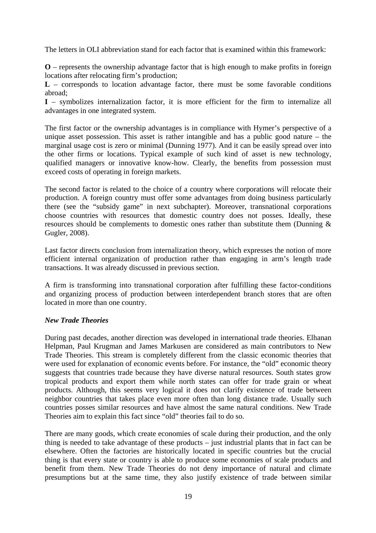The letters in OLI abbreviation stand for each factor that is examined within this framework:

**O** – represents the ownership advantage factor that is high enough to make profits in foreign locations after relocating firm's production;

**L** – corresponds to location advantage factor, there must be some favorable conditions abroad;

**I** – symbolizes internalization factor, it is more efficient for the firm to internalize all advantages in one integrated system.

The first factor or the ownership advantages is in compliance with Hymer's perspective of a unique asset possession. This asset is rather intangible and has a public good nature – the marginal usage cost is zero or minimal (Dunning 1977). And it can be easily spread over into the other firms or locations. Typical example of such kind of asset is new technology, qualified managers or innovative know-how. Clearly, the benefits from possession must exceed costs of operating in foreign markets.

The second factor is related to the choice of a country where corporations will relocate their production. A foreign country must offer some advantages from doing business particularly there (see the "subsidy game" in next subchapter). Moreover, transnational corporations choose countries with resources that domestic country does not posses. Ideally, these resources should be complements to domestic ones rather than substitute them (Dunning & Gugler, 2008).

Last factor directs conclusion from internalization theory, which expresses the notion of more efficient internal organization of production rather than engaging in arm's length trade transactions. It was already discussed in previous section.

A firm is transforming into transnational corporation after fulfilling these factor-conditions and organizing process of production between interdependent branch stores that are often located in more than one country.

#### *New Trade Theories*

During past decades, another direction was developed in international trade theories. Elhanan Helpman, Paul Krugman and James Markusen are considered as main contributors to New Trade Theories. This stream is completely different from the classic economic theories that were used for explanation of economic events before. For instance, the "old" economic theory suggests that countries trade because they have diverse natural resources. South states grow tropical products and export them while north states can offer for trade grain or wheat products. Although, this seems very logical it does not clarify existence of trade between neighbor countries that takes place even more often than long distance trade. Usually such countries posses similar resources and have almost the same natural conditions. New Trade Theories aim to explain this fact since "old" theories fail to do so.

There are many goods, which create economies of scale during their production, and the only thing is needed to take advantage of these products – just industrial plants that in fact can be elsewhere. Often the factories are historically located in specific countries but the crucial thing is that every state or country is able to produce some economies of scale products and benefit from them. New Trade Theories do not deny importance of natural and climate presumptions but at the same time, they also justify existence of trade between similar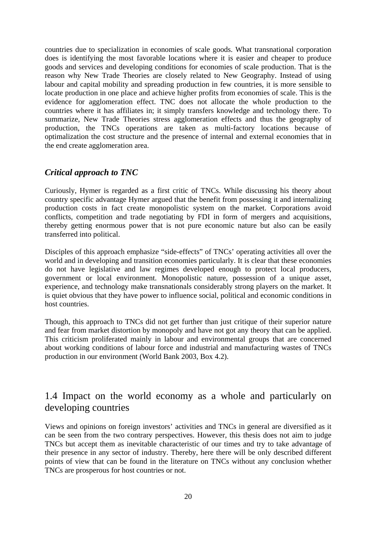countries due to specialization in economies of scale goods. What transnational corporation does is identifying the most favorable locations where it is easier and cheaper to produce goods and services and developing conditions for economies of scale production. That is the reason why New Trade Theories are closely related to New Geography. Instead of using labour and capital mobility and spreading production in few countries, it is more sensible to locate production in one place and achieve higher profits from economies of scale. This is the evidence for agglomeration effect. TNC does not allocate the whole production to the countries where it has affiliates in; it simply transfers knowledge and technology there. To summarize, New Trade Theories stress agglomeration effects and thus the geography of production, the TNCs operations are taken as multi-factory locations because of optimalization the cost structure and the presence of internal and external economies that in the end create agglomeration area.

### *Critical approach to TNC*

Curiously, Hymer is regarded as a first critic of TNCs. While discussing his theory about country specific advantage Hymer argued that the benefit from possessing it and internalizing production costs in fact create monopolistic system on the market. Corporations avoid conflicts, competition and trade negotiating by FDI in form of mergers and acquisitions, thereby getting enormous power that is not pure economic nature but also can be easily transferred into political.

Disciples of this approach emphasize "side-effects" of TNCs' operating activities all over the world and in developing and transition economies particularly. It is clear that these economies do not have legislative and law regimes developed enough to protect local producers, government or local environment. Monopolistic nature, possession of a unique asset, experience, and technology make transnationals considerably strong players on the market. It is quiet obvious that they have power to influence social, political and economic conditions in host countries.

Though, this approach to TNCs did not get further than just critique of their superior nature and fear from market distortion by monopoly and have not got any theory that can be applied. This criticism proliferated mainly in labour and environmental groups that are concerned about working conditions of labour force and industrial and manufacturing wastes of TNCs production in our environment (World Bank 2003, Box 4.2).

### 1.4 Impact on the world economy as a whole and particularly on developing countries

Views and opinions on foreign investors' activities and TNCs in general are diversified as it can be seen from the two contrary perspectives. However, this thesis does not aim to judge TNCs but accept them as inevitable characteristic of our times and try to take advantage of their presence in any sector of industry. Thereby, here there will be only described different points of view that can be found in the literature on TNCs without any conclusion whether TNCs are prosperous for host countries or not.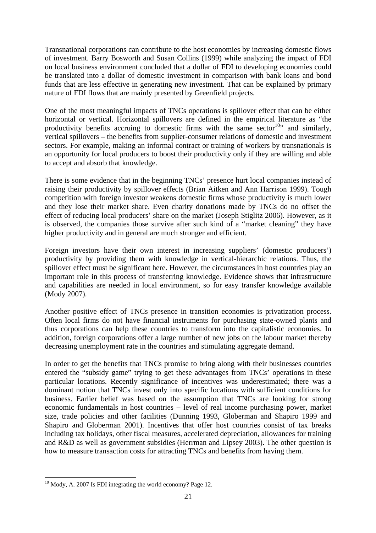Transnational corporations can contribute to the host economies by increasing domestic flows of investment. Barry Bosworth and Susan Collins (1999) while analyzing the impact of FDI on local business environment concluded that a dollar of FDI to developing economies could be translated into a dollar of domestic investment in comparison with bank loans and bond funds that are less effective in generating new investment. That can be explained by primary nature of FDI flows that are mainly presented by Greenfield projects.

One of the most meaningful impacts of TNCs operations is spillover effect that can be either horizontal or vertical. Horizontal spillovers are defined in the empirical literature as "the productivity benefits accruing to domestic firms with the same sector<sup>10</sup> $\cdot$  and similarly, vertical spillovers – the benefits from supplier-consumer relations of domestic and investment sectors. For example, making an informal contract or training of workers by transnationals is an opportunity for local producers to boost their productivity only if they are willing and able to accept and absorb that knowledge.

There is some evidence that in the beginning TNCs' presence hurt local companies instead of raising their productivity by spillover effects (Brian Aitken and Ann Harrison 1999). Tough competition with foreign investor weakens domestic firms whose productivity is much lower and they lose their market share. Even charity donations made by TNCs do no offset the effect of reducing local producers' share on the market (Joseph Stiglitz 2006). However, as it is observed, the companies those survive after such kind of a "market cleaning" they have higher productivity and in general are much stronger and efficient.

Foreign investors have their own interest in increasing suppliers' (domestic producers') productivity by providing them with knowledge in vertical-hierarchic relations. Thus, the spillover effect must be significant here. However, the circumstances in host countries play an important role in this process of transferring knowledge. Evidence shows that infrastructure and capabilities are needed in local environment, so for easy transfer knowledge available (Mody 2007).

Another positive effect of TNCs presence in transition economies is privatization process. Often local firms do not have financial instruments for purchasing state-owned plants and thus corporations can help these countries to transform into the capitalistic economies. In addition, foreign corporations offer a large number of new jobs on the labour market thereby decreasing unemployment rate in the countries and stimulating aggregate demand.

In order to get the benefits that TNCs promise to bring along with their businesses countries entered the "subsidy game" trying to get these advantages from TNCs' operations in these particular locations. Recently significance of incentives was underestimated; there was a dominant notion that TNCs invest only into specific locations with sufficient conditions for business. Earlier belief was based on the assumption that TNCs are looking for strong economic fundamentals in host countries – level of real income purchasing power, market size, trade policies and other facilities (Dunning 1993, Globerman and Shapiro 1999 and Shapiro and Globerman 2001). Incentives that offer host countries consist of tax breaks including tax holidays, other fiscal measures, accelerated depreciation, allowances for training and R&D as well as government subsidies (Herrman and Lipsey 2003). The other question is how to measure transaction costs for attracting TNCs and benefits from having them.

 $\overline{a}$  $10$  Mody, A. 2007 Is FDI integrating the world economy? Page 12.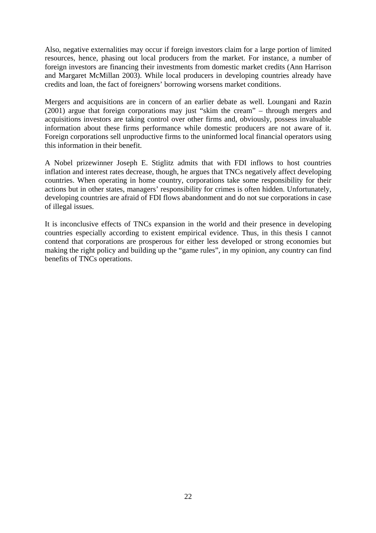Also, negative externalities may occur if foreign investors claim for a large portion of limited resources, hence, phasing out local producers from the market. For instance, a number of foreign investors are financing their investments from domestic market credits (Ann Harrison and Margaret McMillan 2003). While local producers in developing countries already have credits and loan, the fact of foreigners' borrowing worsens market conditions.

Mergers and acquisitions are in concern of an earlier debate as well. Loungani and Razin (2001) argue that foreign corporations may just "skim the cream" – through mergers and acquisitions investors are taking control over other firms and, obviously, possess invaluable information about these firms performance while domestic producers are not aware of it. Foreign corporations sell unproductive firms to the uninformed local financial operators using this information in their benefit.

A Nobel prizewinner Joseph E. Stiglitz admits that with FDI inflows to host countries inflation and interest rates decrease, though, he argues that TNCs negatively affect developing countries. When operating in home country, corporations take some responsibility for their actions but in other states, managers' responsibility for crimes is often hidden. Unfortunately, developing countries are afraid of FDI flows abandonment and do not sue corporations in case of illegal issues.

It is inconclusive effects of TNCs expansion in the world and their presence in developing countries especially according to existent empirical evidence. Thus, in this thesis I cannot contend that corporations are prosperous for either less developed or strong economies but making the right policy and building up the "game rules", in my opinion, any country can find benefits of TNCs operations.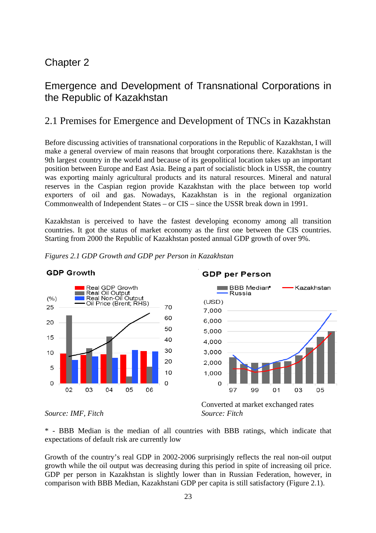### Chapter 2

### Emergence and Development of Transnational Corporations in the Republic of Kazakhstan

### 2.1 Premises for Emergence and Development of TNCs in Kazakhstan

Before discussing activities of transnational corporations in the Republic of Kazakhstan, I will make a general overview of main reasons that brought corporations there. Kazakhstan is the 9th largest country in the world and because of its geopolitical location takes up an important position between Europe and East Asia. Being a part of socialistic block in USSR, the country was exporting mainly agricultural products and its natural resources. Mineral and natural reserves in the Caspian region provide Kazakhstan with the place between top world exporters of oil and gas. Nowadays, Kazakhstan is in the regional organization Commonwealth of Independent States – or CIS – since the USSR break down in 1991.

Kazakhstan is perceived to have the fastest developing economy among all transition countries. It got the status of market economy as the first one between the CIS countries. Starting from 2000 the Republic of Kazakhstan posted annual GDP growth of over 9%.



#### *Figures 2.1 GDP Growth and GDP per Person in Kazakhstan*



#### *Source: IMF, Fitch Source: Fitch*



\* - BBB Median is the median of all countries with BBB ratings, which indicate that expectations of default risk are currently low

Growth of the country's real GDP in 2002-2006 surprisingly reflects the real non-oil output growth while the oil output was decreasing during this period in spite of increasing oil price. GDP per person in Kazakhstan is slightly lower than in Russian Federation, however, in comparison with BBB Median, Kazakhstani GDP per capita is still satisfactory (Figure 2.1).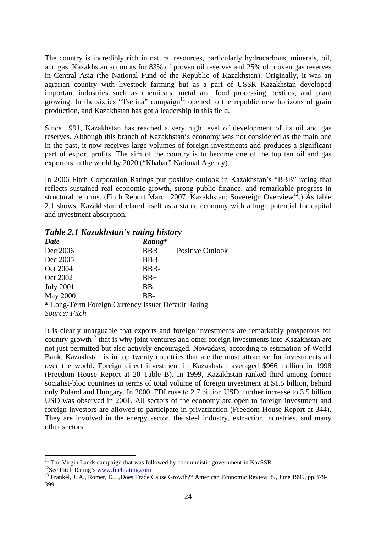The country is incredibly rich in natural resources, particularly hydrocarbons, minerals, oil, and gas. Kazakhstan accounts for 83% of proven oil reserves and 25% of proven gas reserves in Central Asia (the National Fund of the Republic of Kazakhstan). Originally, it was an agrarian country with livestock farming but as a part of USSR Kazakhstan developed important industries such as chemicals, metal and food processing, textiles, and plant growing. In the sixties "Tselina" campaign<sup>11</sup> opened to the republic new horizons of grain production, and Kazakhstan has got a leadership in this field.

Since 1991, Kazakhstan has reached a very high level of development of its oil and gas reserves. Although this branch of Kazakhstan's economy was not considered as the main one in the past, it now receives large volumes of foreign investments and produces a significant part of export profits. The aim of the country is to become one of the top ten oil and gas exporters in the world by 2020 ("Khabar" National Agency).

In 2006 Fitch Corporation Ratings put positive outlook in Kazakhstan's "BBB" rating that reflects sustained real economic growth, strong public finance, and remarkable progress in structural reforms. (Fitch Report March 2007. Kazakhstan: Sovereign Overview<sup>12</sup>.) As table 2.1 shows, Kazakhstan declared itself as a stable economy with a huge potential for capital and investment absorption.

| <b>Date</b>      | Rating*    |                         |
|------------------|------------|-------------------------|
| Dec 2006         | <b>BBB</b> | <b>Positive Outlook</b> |
| Dec 2005         | <b>BBB</b> |                         |
| Oct 2004         | BBB-       |                         |
| Oct 2002         | $BB+$      |                         |
| <b>July 2001</b> | <b>BB</b>  |                         |
| <b>May 2000</b>  | BB-        |                         |

*Table 2.1 Kazakhstan's rating history* 

**\*** Long-Term Foreign Currency Issuer Default Rating *Source: Fitch* 

It is clearly unarguable that exports and foreign investments are remarkably prosperous for country growth<sup>13</sup> that is why joint ventures and other foreign investments into Kazakhstan are not just permitted but also actively encouraged. Nowadays, according to estimation of World Bank, Kazakhstan is in top twenty countries that are the most attractive for investments all over the world. Foreign direct investment in Kazakhstan averaged \$966 million in 1998 (Freedom House Report at 20 Table B). In 1999, Kazakhstan ranked third among former socialist-bloc countries in terms of total volume of foreign investment at \$1.5 billion, behind only Poland and Hungary. In 2000, FDI rose to 2.7 billion USD, further increase to 3.5 billion USD was observed in 2001. All sectors of the economy are open to foreign investment and foreign investors are allowed to participate in privatization (Freedom House Report at 344). They are involved in the energy sector, the steel industry, extraction industries, and many other sectors.

 $\overline{a}$  $11$  The Virgin Lands campaign that was followed by communistic government in KazSSR.

<sup>&</sup>lt;sup>12</sup>See Fitch Rating's www.fitchrating.com

<sup>&</sup>lt;sup>13</sup> Frankel, J. A., Romer, D., "Does Trade Cause Growth?" American Economic Review 89, June 1999, pp.379-399.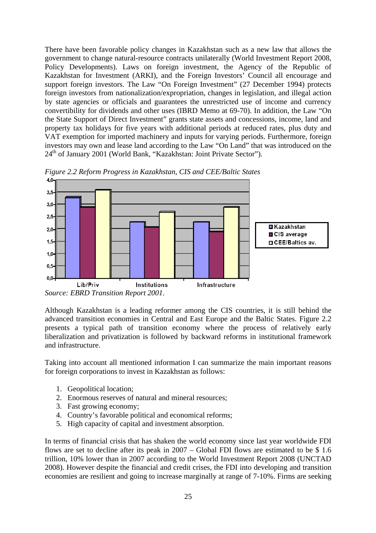There have been favorable policy changes in Kazakhstan such as a new law that allows the government to change natural-resource contracts unilaterally (World Investment Report 2008, Policy Developments). Laws on foreign investment, the Agency of the Republic of Kazakhstan for Investment (ARKI), and the Foreign Investors' Council all encourage and support foreign investors. The Law "On Foreign Investment" (27 December 1994) protects foreign investors from nationalization/expropriation, changes in legislation, and illegal action by state agencies or officials and guarantees the unrestricted use of income and currency convertibility for dividends and other uses (IBRD Memo at 69-70). In addition, the Law "On the State Support of Direct Investment" grants state assets and concessions, income, land and property tax holidays for five years with additional periods at reduced rates, plus duty and VAT exemption for imported machinery and inputs for varying periods. Furthermore, foreign investors may own and lease land according to the Law "On Land" that was introduced on the 24<sup>th</sup> of January 2001 (World Bank, "Kazakhstan: Joint Private Sector").



*Figure 2.2 Reform Progress in Kazakhstan, CIS and CEE/Baltic States* 

*Source: EBRD Transition Report 2001*.

Although Kazakhstan is a leading reformer among the CIS countries, it is still behind the advanced transition economies in Central and East Europe and the Baltic States. Figure 2.2 presents a typical path of transition economy where the process of relatively early liberalization and privatization is followed by backward reforms in institutional framework and infrastructure.

Taking into account all mentioned information I can summarize the main important reasons for foreign corporations to invest in Kazakhstan as follows:

- 1. Geopolitical location;
- 2. Enormous reserves of natural and mineral resources;
- 3. Fast growing economy;
- 4. Country's favorable political and economical reforms;
- 5. High capacity of capital and investment absorption.

In terms of financial crisis that has shaken the world economy since last year worldwide FDI flows are set to decline after its peak in 2007 – Global FDI flows are estimated to be \$ 1.6 trillion, 10% lower than in 2007 according to the World Investment Report 2008 (UNCTAD 2008). However despite the financial and credit crises, the FDI into developing and transition economies are resilient and going to increase marginally at range of 7-10%. Firms are seeking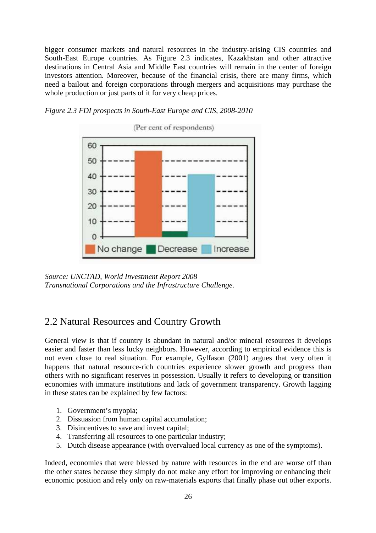bigger consumer markets and natural resources in the industry-arising CIS countries and South-East Europe countries. As Figure 2.3 indicates, Kazakhstan and other attractive destinations in Central Asia and Middle East countries will remain in the center of foreign investors attention. Moreover, because of the financial crisis, there are many firms, which need a bailout and foreign corporations through mergers and acquisitions may purchase the whole production or just parts of it for very cheap prices.

*Figure 2.3 FDI prospects in South-East Europe and CIS, 2008-2010* 



*Source: UNCTAD, World Investment Report 2008 Transnational Corporations and the Infrastructure Challenge.* 

### 2.2 Natural Resources and Country Growth

General view is that if country is abundant in natural and/or mineral resources it develops easier and faster than less lucky neighbors. However, according to empirical evidence this is not even close to real situation. For example, Gylfason (2001) argues that very often it happens that natural resource-rich countries experience slower growth and progress than others with no significant reserves in possession. Usually it refers to developing or transition economies with immature institutions and lack of government transparency. Growth lagging in these states can be explained by few factors:

- 1. Government's myopia;
- 2. Dissuasion from human capital accumulation;
- 3. Disincentives to save and invest capital;
- 4. Transferring all resources to one particular industry;
- 5. Dutch disease appearance (with overvalued local currency as one of the symptoms).

Indeed, economies that were blessed by nature with resources in the end are worse off than the other states because they simply do not make any effort for improving or enhancing their economic position and rely only on raw-materials exports that finally phase out other exports.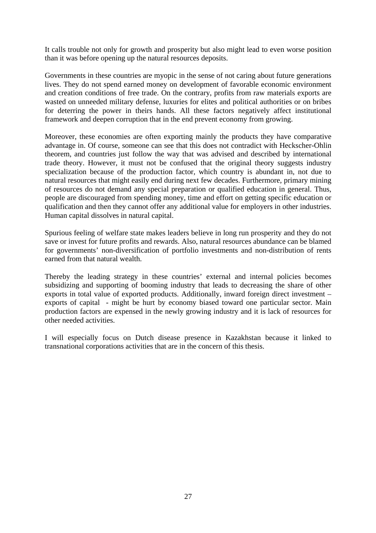It calls trouble not only for growth and prosperity but also might lead to even worse position than it was before opening up the natural resources deposits.

Governments in these countries are myopic in the sense of not caring about future generations lives. They do not spend earned money on development of favorable economic environment and creation conditions of free trade. On the contrary, profits from raw materials exports are wasted on unneeded military defense, luxuries for elites and political authorities or on bribes for deterring the power in theirs hands. All these factors negatively affect institutional framework and deepen corruption that in the end prevent economy from growing.

Moreover, these economies are often exporting mainly the products they have comparative advantage in. Of course, someone can see that this does not contradict with Heckscher-Ohlin theorem, and countries just follow the way that was advised and described by international trade theory. However, it must not be confused that the original theory suggests industry specialization because of the production factor, which country is abundant in, not due to natural resources that might easily end during next few decades. Furthermore, primary mining of resources do not demand any special preparation or qualified education in general. Thus, people are discouraged from spending money, time and effort on getting specific education or qualification and then they cannot offer any additional value for employers in other industries. Human capital dissolves in natural capital.

Spurious feeling of welfare state makes leaders believe in long run prosperity and they do not save or invest for future profits and rewards. Also, natural resources abundance can be blamed for governments' non-diversification of portfolio investments and non-distribution of rents earned from that natural wealth.

Thereby the leading strategy in these countries' external and internal policies becomes subsidizing and supporting of booming industry that leads to decreasing the share of other exports in total value of exported products. Additionally, inward foreign direct investment – exports of capital - might be hurt by economy biased toward one particular sector. Main production factors are expensed in the newly growing industry and it is lack of resources for other needed activities.

I will especially focus on Dutch disease presence in Kazakhstan because it linked to transnational corporations activities that are in the concern of this thesis.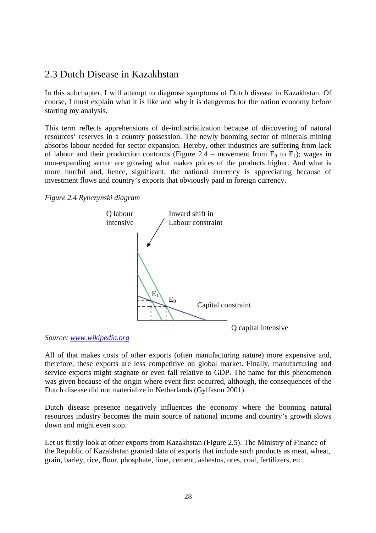### 2.3 Dutch Disease in Kazakhstan

In this subchapter, I will attempt to diagnose symptoms of Dutch disease in Kazakhstan. Of course, I must explain what it is like and why it is dangerous for the nation economy before starting my analysis.

This term reflects apprehensions of de-industrialization because of discovering of natural resources' reserves in a country possession. The newly booming sector of minerals mining absorbs labour needed for sector expansion. Hereby, other industries are suffering from lack of labour and their production contracts (Figure 2.4 – movement from  $E_0$  to  $E_1$ ); wages in non-expanding sector are growing what makes prices of the products higher. And what is more hurtful and, hence, significant, the national currency is appreciating because of investment flows and country's exports that obviously paid in foreign currency.

*Figure 2.4 Rybczynski diagram* 



*Source: www.wikipedia.org* 

All of that makes costs of other exports (often manufacturing nature) more expensive and, therefore, these exports are less competitive on global market. Finally, manufacturing and service exports might stagnate or even fall relative to GDP. The name for this phenomenon was given because of the origin where event first occurred, although, the consequences of the Dutch disease did not materialize in Netherlands (Gylfason 2001).

Dutch disease presence negatively influences the economy where the booming natural resources industry becomes the main source of national income and country's growth slows down and might even stop.

Let us firstly look at other exports from Kazakhstan (Figure 2.5). The Ministry of Finance of the Republic of Kazakhstan granted data of exports that include such products as meat, wheat, grain, barley, rice, flour, phosphate, lime, cement, asbestos, ores, coal, fertilizers, etc.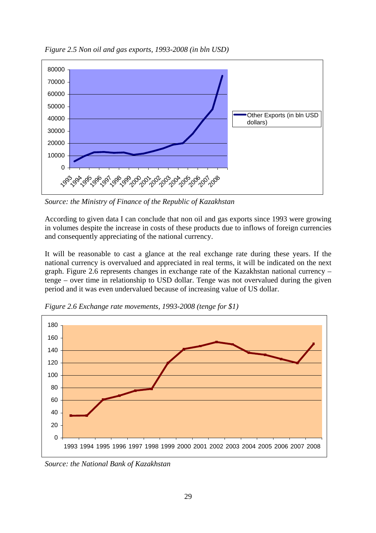

*Figure 2.5 Non oil and gas exports, 1993-2008 (in bln USD)*

*Source: the Ministry of Finance of the Republic of Kazakhstan* 

According to given data I can conclude that non oil and gas exports since 1993 were growing in volumes despite the increase in costs of these products due to inflows of foreign currencies and consequently appreciating of the national currency.

It will be reasonable to cast a glance at the real exchange rate during these years. If the national currency is overvalued and appreciated in real terms, it will be indicated on the next graph. Figure 2.6 represents changes in exchange rate of the Kazakhstan national currency – tenge – over time in relationship to USD dollar. Tenge was not overvalued during the given period and it was even undervalued because of increasing value of US dollar.



*Figure 2.6 Exchange rate movements, 1993-2008 (tenge for \$1)*

*Source: the National Bank of Kazakhstan*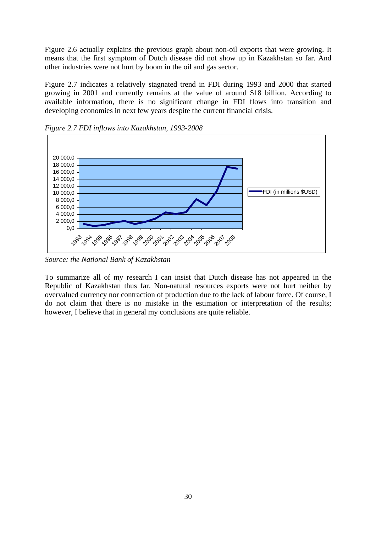Figure 2.6 actually explains the previous graph about non-oil exports that were growing. It means that the first symptom of Dutch disease did not show up in Kazakhstan so far. And other industries were not hurt by boom in the oil and gas sector.

Figure 2.7 indicates a relatively stagnated trend in FDI during 1993 and 2000 that started growing in 2001 and currently remains at the value of around \$18 billion. According to available information, there is no significant change in FDI flows into transition and developing economies in next few years despite the current financial crisis.



*Figure 2.7 FDI inflows into Kazakhstan, 1993-2008*

*Source: the National Bank of Kazakhstan*

To summarize all of my research I can insist that Dutch disease has not appeared in the Republic of Kazakhstan thus far. Non-natural resources exports were not hurt neither by overvalued currency nor contraction of production due to the lack of labour force. Of course, I do not claim that there is no mistake in the estimation or interpretation of the results; however, I believe that in general my conclusions are quite reliable.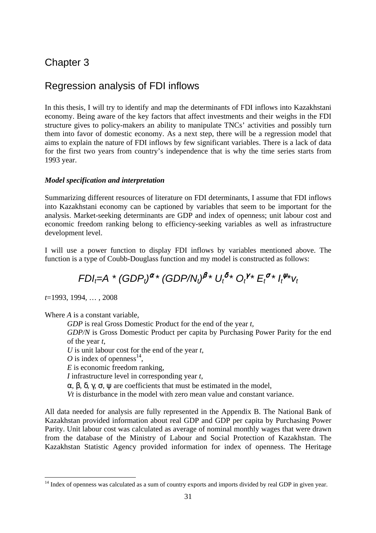### Chapter 3

### Regression analysis of FDI inflows

In this thesis, I will try to identify and map the determinants of FDI inflows into Kazakhstani economy. Being aware of the key factors that affect investments and their weighs in the FDI structure gives to policy-makers an ability to manipulate TNCs' activities and possibly turn them into favor of domestic economy. As a next step, there will be a regression model that aims to explain the nature of FDI inflows by few significant variables. There is a lack of data for the first two years from country's independence that is why the time series starts from 1993 year.

#### *Model specification and interpretation*

Summarizing different resources of literature on FDI determinants, I assume that FDI inflows into Kazakhstani economy can be captioned by variables that seem to be important for the analysis. Market-seeking determinants are GDP and index of openness; unit labour cost and economic freedom ranking belong to efficiency-seeking variables as well as infrastructure development level.

I will use a power function to display FDI inflows by variables mentioned above. The function is a type of Coubb-Douglass function and my model is constructed as follows:

## $FDI_t = A^* (GDP_t)^{\alpha} * (GDP/N_t)^{\beta} * U_t^{\delta} * O_t^{\gamma} * E_t^{\sigma} * I_t^{\psi} * V_t$

*t*=1993, 1994, … , 2008

 $\overline{a}$ 

Where *A* is a constant variable,

*GDP* is real Gross Domestic Product for the end of the year *t*,

*GDP/N* is Gross Domestic Product per capita by Purchasing Power Parity for the end of the year *t,* 

*U* is unit labour cost for the end of the year *t*,

O is index of openness<sup>14</sup>,

*E* is economic freedom ranking,

*I* infrastructure level in corresponding year *t*,

 $\alpha$ ,  $\beta$ ,  $\delta$ ,  $\gamma$ ,  $\sigma$ ,  $\psi$  are coefficients that must be estimated in the model.

*Vt* is disturbance in the model with zero mean value and constant variance.

All data needed for analysis are fully represented in the Appendix B. The National Bank of Kazakhstan provided information about real GDP and GDP per capita by Purchasing Power Parity. Unit labour cost was calculated as average of nominal monthly wages that were drawn from the database of the Ministry of Labour and Social Protection of Kazakhstan. The Kazakhstan Statistic Agency provided information for index of openness. The Heritage

<sup>&</sup>lt;sup>14</sup> Index of openness was calculated as a sum of country exports and imports divided by real GDP in given year.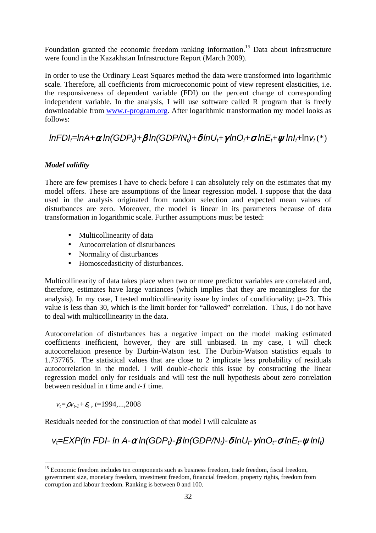Foundation granted the economic freedom ranking information.<sup>15</sup> Data about infrastructure were found in the Kazakhstan Infrastructure Report (March 2009).

In order to use the Ordinary Least Squares method the data were transformed into logarithmic scale. Therefore, all coefficients from microeconomic point of view represent elasticities, i.e. the responsiveness of dependent variable (FDI) on the percent change of corresponding independent variable. In the analysis, I will use software called R program that is freely downloadable from www.r-program.org. After logarithmic transformation my model looks as follows:

### $lnFDl_f=lnA+\alpha ln(GDP_t)+\beta ln(GDP/N_t)+\delta lnU_t+\gamma lnO_t+\sigma lnE_t+w lnI_t+lnV_t (*)$

#### *Model validity*

There are few premises I have to check before I can absolutely rely on the estimates that my model offers. These are assumptions of the linear regression model. I suppose that the data used in the analysis originated from random selection and expected mean values of disturbances are zero. Moreover, the model is linear in its parameters because of data transformation in logarithmic scale. Further assumptions must be tested:

- Multicollinearity of data
- Autocorrelation of disturbances
- Normality of disturbances
- Homoscedasticity of disturbances.

Multicollinearity of data takes place when two or more predictor variables are correlated and, therefore, estimates have large variances (which implies that they are meaningless for the analysis). In my case, I tested multicollinearity issue by index of conditionality:  $\mu$ =23. This value is less than 30, which is the limit border for "allowed" correlation. Thus, I do not have to deal with multicollinearity in the data.

Autocorrelation of disturbances has a negative impact on the model making estimated coefficients inefficient, however, they are still unbiased. In my case, I will check autocorrelation presence by Durbin-Watson test. The Durbin-Watson statistics equals to 1.737765. The statistical values that are close to 2 implicate less probability of residuals autocorrelation in the model. I will double-check this issue by constructing the linear regression model only for residuals and will test the null hypothesis about zero correlation between residual in *t* time and *t-1* time.

*vt=*ρ*vt-1+*<sup>ε</sup>*t* , *t*=1994,...,2008

 $\overline{a}$ 

Residuals needed for the construction of that model I will calculate as

 $v_t=$ EXP(ln FDI- ln A-α ln(GDP<sub>t</sub>)- $\beta$  ln(GDP/N<sub>t</sub>)- $\delta$  lnU<sub>t</sub>-γ lnO<sub>t</sub>-σ lnE<sub>t</sub>- $\psi$  lnI<sub>t</sub>)

<sup>&</sup>lt;sup>15</sup> Economic freedom includes ten components such as business freedom, trade freedom, fiscal freedom, government size, monetary freedom, investment freedom, financial freedom, property rights, freedom from corruption and labour freedom. Ranking is between 0 and 100.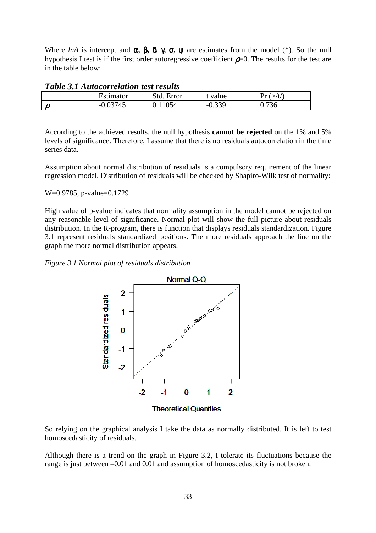Where *lnA* is intercept and  $\alpha$ ,  $\beta$ ,  $\delta$ ,  $\gamma$ ,  $\sigma$ ,  $\psi$  are estimates from the model (\*). So the null hypothesis I test is if the first order autoregressive coefficient  $\rho$ =0. The results for the test are in the table below:

| Tuble 9.1 Autocorrelation lest results |            |            |          |                 |  |  |  |  |  |
|----------------------------------------|------------|------------|----------|-----------------|--|--|--|--|--|
|                                        | Estimator  | Std. Error | t value  | Dr.<br>$>\!$ t/ |  |  |  |  |  |
|                                        | $-0.03745$ | v. 11      | $-0.339$ | 0.736           |  |  |  |  |  |

According to the achieved results, the null hypothesis **cannot be rejected** on the 1% and 5% levels of significance. Therefore, I assume that there is no residuals autocorrelation in the time series data.

Assumption about normal distribution of residuals is a compulsory requirement of the linear regression model. Distribution of residuals will be checked by Shapiro-Wilk test of normality:

#### W=0.9785, p-value=0.1729

High value of p-value indicates that normality assumption in the model cannot be rejected on any reasonable level of significance. Normal plot will show the full picture about residuals distribution. In the R-program, there is function that displays residuals standardization. Figure 3.1 represent residuals standardized positions. The more residuals approach the line on the graph the more normal distribution appears.

#### *Figure 3.1 Normal plot of residuals distribution*



So relying on the graphical analysis I take the data as normally distributed. It is left to test homoscedasticity of residuals.

Although there is a trend on the graph in Figure 3.2, I tolerate its fluctuations because the range is just between –0.01 and 0.01 and assumption of homoscedasticity is not broken.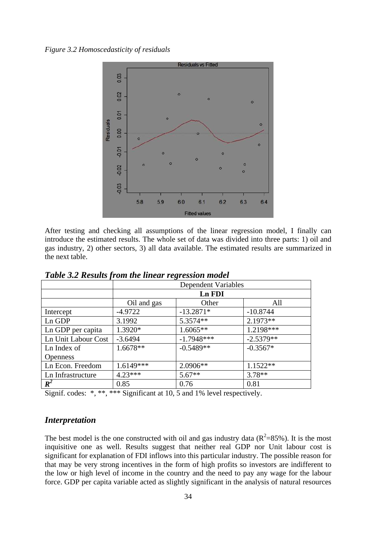*Figure 3.2 Homoscedasticity of residuals*



After testing and checking all assumptions of the linear regression model, I finally can introduce the estimated results. The whole set of data was divided into three parts: 1) oil and gas industry, 2) other sectors, 3) all data available. The estimated results are summarized in the next table.

|                     |             | <b>Dependent Variables</b> |             |  |  |  |  |  |
|---------------------|-------------|----------------------------|-------------|--|--|--|--|--|
|                     |             | Ln FDI                     |             |  |  |  |  |  |
|                     | Oil and gas | Other                      | All         |  |  |  |  |  |
| Intercept           | $-4.9722$   | $-13.2871*$                | $-10.8744$  |  |  |  |  |  |
| Ln GDP              | 3.1992      | 5.3574**                   | 2.1973**    |  |  |  |  |  |
| Ln GDP per capita   | 1.3920*     | $1.6065**$                 | 1.2198***   |  |  |  |  |  |
| Ln Unit Labour Cost | $-3.6494$   | $-1.7948***$               | $-2.5379**$ |  |  |  |  |  |
| Ln Index of         | $1.6678**$  | $-0.5489**$                | $-0.3567*$  |  |  |  |  |  |
| <b>Openness</b>     |             |                            |             |  |  |  |  |  |
| Ln Econ. Freedom    | $1.6149***$ | $2.0906**$                 | $1.1522**$  |  |  |  |  |  |
| Ln Infrastructure   | $4.23***$   | $5.67**$                   | $3.78**$    |  |  |  |  |  |
| $R^2$               | 0.85        | 0.76                       | 0.81        |  |  |  |  |  |

*Table 3.2 Results from the linear regression model* 

Signif. codes: \*, \*\*, \*\*\* Significant at 10, 5 and 1% level respectively.

#### *Interpretation*

The best model is the one constructed with oil and gas industry data  $(R^2=85\%)$ . It is the most inquisitive one as well. Results suggest that neither real GDP nor Unit labour cost is significant for explanation of FDI inflows into this particular industry. The possible reason for that may be very strong incentives in the form of high profits so investors are indifferent to the low or high level of income in the country and the need to pay any wage for the labour force. GDP per capita variable acted as slightly significant in the analysis of natural resources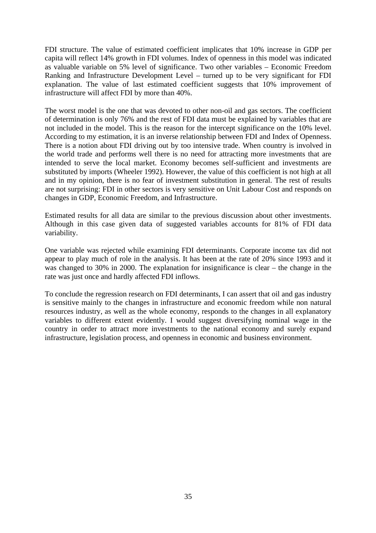FDI structure. The value of estimated coefficient implicates that 10% increase in GDP per capita will reflect 14% growth in FDI volumes. Index of openness in this model was indicated as valuable variable on 5% level of significance. Two other variables – Economic Freedom Ranking and Infrastructure Development Level – turned up to be very significant for FDI explanation. The value of last estimated coefficient suggests that 10% improvement of infrastructure will affect FDI by more than 40%.

The worst model is the one that was devoted to other non-oil and gas sectors. The coefficient of determination is only 76% and the rest of FDI data must be explained by variables that are not included in the model. This is the reason for the intercept significance on the 10% level. According to my estimation, it is an inverse relationship between FDI and Index of Openness. There is a notion about FDI driving out by too intensive trade. When country is involved in the world trade and performs well there is no need for attracting more investments that are intended to serve the local market. Economy becomes self-sufficient and investments are substituted by imports (Wheeler 1992). However, the value of this coefficient is not high at all and in my opinion, there is no fear of investment substitution in general. The rest of results are not surprising: FDI in other sectors is very sensitive on Unit Labour Cost and responds on changes in GDP, Economic Freedom, and Infrastructure.

Estimated results for all data are similar to the previous discussion about other investments. Although in this case given data of suggested variables accounts for 81% of FDI data variability.

One variable was rejected while examining FDI determinants. Corporate income tax did not appear to play much of role in the analysis. It has been at the rate of 20% since 1993 and it was changed to 30% in 2000. The explanation for insignificance is clear – the change in the rate was just once and hardly affected FDI inflows.

To conclude the regression research on FDI determinants, I can assert that oil and gas industry is sensitive mainly to the changes in infrastructure and economic freedom while non natural resources industry, as well as the whole economy, responds to the changes in all explanatory variables to different extent evidently. I would suggest diversifying nominal wage in the country in order to attract more investments to the national economy and surely expand infrastructure, legislation process, and openness in economic and business environment.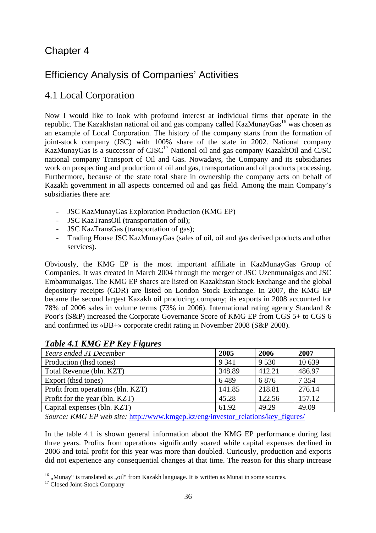### Chapter 4

### Efficiency Analysis of Companies' Activities

### 4.1 Local Corporation

Now I would like to look with profound interest at individual firms that operate in the republic. The Kazakhstan national oil and gas company called KazMunayGas<sup>16</sup> was chosen as an example of Local Corporation. The history of the company starts from the formation of joint-stock company (JSC) with 100% share of the state in 2002. National company KazMunayGas is a successor of  $CISC^{17}$  National oil and gas company KazakhOil and  $\overline{CISC}$ national company Transport of Oil and Gas. Nowadays, the Company and its subsidiaries work on prospecting and production of oil and gas, transportation and oil products processing. Furthermore, because of the state total share in ownership the company acts on behalf of Kazakh government in all aspects concerned oil and gas field. Among the main Company's subsidiaries there are:

- JSC KazMunayGas Exploration Production (KMG EP)
- JSC KazTransOil (transportation of oil);
- JSC KazTransGas (transportation of gas);
- Trading House JSC KazMunayGas (sales of oil, oil and gas derived products and other services).

Obviously, the KMG EP is the most important affiliate in KazMunayGas Group of Companies. It was created in March 2004 through the merger of JSС Uzenmunaigas and JSС Embamunaigas. The KMG EP shares are listed on Kazakhstan Stock Exchange and the global depository receipts (GDR) are listed on London Stock Exchange. In 2007, the KMG EP became the second largest Kazakh oil producing company; its exports in 2008 accounted for 78% of 2006 sales in volume terms (73% in 2006). International rating agency Standard & Poor's (S&P) increased the Corporate Governance Score of KMG EP from CGS 5+ to CGS 6 and confirmed its «BB+» corporate credit rating in November 2008 (S&P 2008).

| Years ended 31 December           | 2005    | 2006    | 2007    |
|-----------------------------------|---------|---------|---------|
| Production (thad tones)           | 9 3 4 1 | 9 5 3 0 | 10 639  |
| Total Revenue (bln. KZT)          | 348.89  | 412.21  | 486.97  |
| Export (thsd tones)               | 6489    | 6876    | 7 3 5 4 |
| Profit from operations (bln. KZT) | 141.85  | 218.81  | 276.14  |
| Profit for the year (bln. KZT)    | 45.28   | 122.56  | 157.12  |
| Capital expenses (bln. KZT)       | 61.92   | 49.29   | 49.09   |
|                                   |         |         |         |

### *Table 4.1 KMG EP Key Figures*

*Source: KMG EP web site:* http://www.kmgep.kz/eng/investor\_relations/key\_figures/

In the table 4.1 is shown general information about the KMG EP performance during last three years. Profits from operations significantly soared while capital expenses declined in 2006 and total profit for this year was more than doubled. Curiously, production and exports did not experience any consequential changes at that time. The reason for this sharp increase

 $\overline{a}$  $16$ , Munay" is translated as ,oil" from Kazakh language. It is written as Munai in some sources.

<sup>&</sup>lt;sup>17</sup> Closed Joint-Stock Company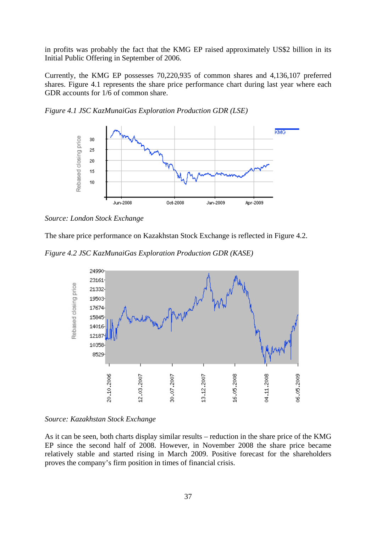in profits was probably the fact that the KMG EP raised approximately US\$2 billion in its Initial Public Offering in September of 2006.

Currently, the KMG EP possesses 70,220,935 of common shares and 4,136,107 preferred shares. Figure 4.1 represents the share price performance chart during last year where each GDR accounts for 1/6 of common share.



*Figure 4.1 JSC KazMunaiGas Exploration Production GDR (LSE)* 

The share price performance on Kazakhstan Stock Exchange is reflected in Figure 4.2.

*Figure 4.2 JSC KazMunaiGas Exploration Production GDR (KASE)* 



#### *Source: Kazakhstan Stock Exchange*

As it can be seen, both charts display similar results – reduction in the share price of the KMG EP since the second half of 2008. However, in November 2008 the share price became relatively stable and started rising in March 2009. Positive forecast for the shareholders proves the company's firm position in times of financial crisis.

*Source: London Stock Exchange*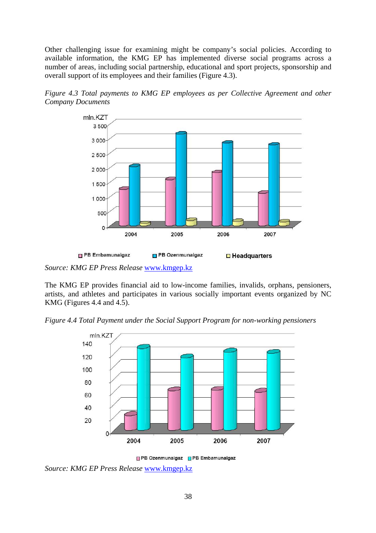Other challenging issue for examining might be company's social policies. According to available information, the KMG EP has implemented diverse social programs across a number of areas, including social partnership, educational and sport projects, sponsorship and overall support of its employees and their families (Figure 4.3).

*Figure 4.3 Total payments to KMG EP employees as per Collective Agreement and other Company Documents* 



*Source: KMG EP Press Release* www.kmgep.kz

The KMG EP provides financial aid to low-income families, invalids, orphans, pensioners, artists, and athletes and participates in various socially important events organized by NC KMG (Figures 4.4 and 4.5).

*Figure 4.4 Total Payment under the Social Support Program for non-working pensioners* 





*Source: KMG EP Press Release* www.kmgep.kz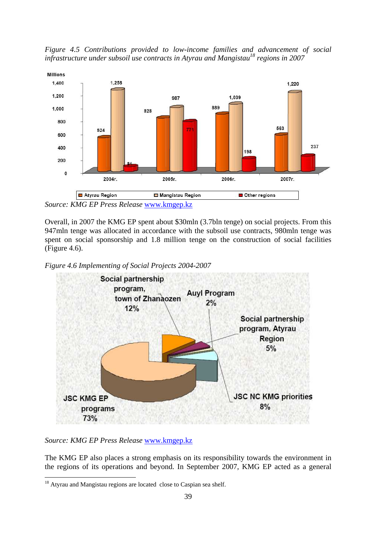*Figure 4.5 Contributions provided to low-income families and advancement of social infrastructure under subsoil use contracts in Atyrau and Mangistau<sup>18</sup> regions in 2007* 



*Source: KMG EP Press Release* www.kmgep.kz

Overall, in 2007 the KMG EP spent about \$30mln (3.7bln tenge) on social projects. From this 947mln tenge was allocated in accordance with the subsoil use contracts, 980mln tenge was spent on social sponsorship and 1.8 million tenge on the construction of social facilities (Figure 4.6).

*Figure 4.6 Implementing of Social Projects 2004-2007* 



*Source: KMG EP Press Release* www.kmgep.kz

The KMG EP also places a strong emphasis on its responsibility towards the environment in the regions of its operations and beyond. In September 2007, KMG EP acted as a general

 $\overline{a}$ <sup>18</sup> Atyrau and Mangistau regions are located close to Caspian sea shelf.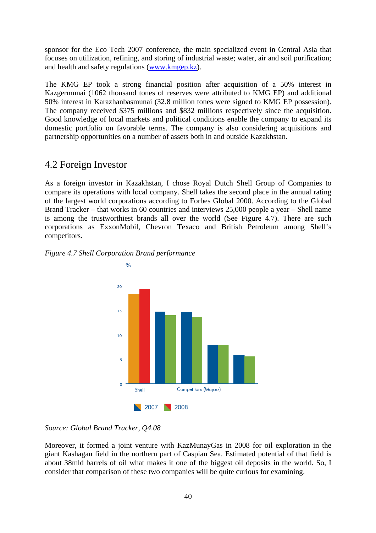sponsor for the Eco Tech 2007 conference, the main specialized event in Central Asia that focuses on utilization, refining, and storing of industrial waste; water, air and soil purification; and health and safety regulations (www.kmgep.kz).

The KMG EP took a strong financial position after acquisition of a 50% interest in Kazgermunai (1062 thousand tones of reserves were attributed to KMG EP) and additional 50% interest in Karazhanbasmunai (32.8 million tones were signed to KMG EP possession). The company received \$375 millions and \$832 millions respectively since the acquisition. Good knowledge of local markets and political conditions enable the company to expand its domestic portfolio on favorable terms. The company is also considering acquisitions and partnership opportunities on a number of assets both in and outside Kazakhstan.

### 4.2 Foreign Investor

As a foreign investor in Kazakhstan, I chose Royal Dutch Shell Group of Companies to compare its operations with local company. Shell takes the second place in the annual rating of the largest world corporations according to Forbes Global 2000. According to the Global Brand Tracker – that works in 60 countries and interviews 25,000 people a year – Shell name is among the trustworthiest brands all over the world (See Figure 4.7). There are such corporations as ExxonMobil, Chevron Texaco and British Petroleum among Shell's competitors.

#### *Figure 4.7 Shell Corporation Brand performance*



#### *Source: Global Brand Tracker, Q4.08*

Moreover, it formed a joint venture with KazMunayGas in 2008 for oil exploration in the giant Kashagan field in the northern part of Caspian Sea. Estimated potential of that field is about 38mld barrels of oil what makes it one of the biggest oil deposits in the world. So, I consider that comparison of these two companies will be quite curious for examining.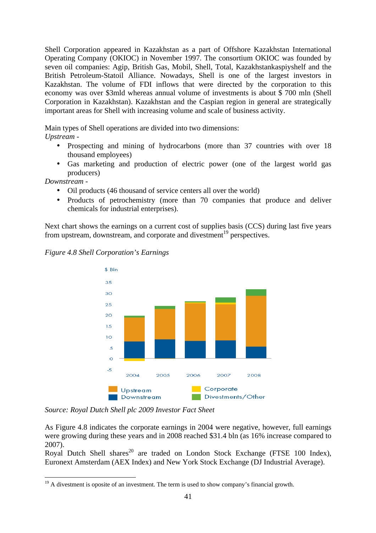Shell Corporation appeared in Kazakhstan as a part of Offshore Kazakhstan International Operating Company (OKIOC) in November 1997. The consortium OKIOC was founded by seven oil companies: Agip, British Gas, Mobil, Shell, Total, Kazakhstankaspiyshelf and the British Petroleum-Statoil Alliance. Nowadays, Shell is one of the largest investors in Kazakhstan. The volume of FDI inflows that were directed by the corporation to this economy was over \$3mld whereas annual volume of investments is about \$ 700 mln (Shell Corporation in Kazakhstan). Kazakhstan and the Caspian region in general are strategically important areas for Shell with increasing volume and scale of business activity.

Main types of Shell operations are divided into two dimensions:

*Upstream* -

- Prospecting and mining of hydrocarbons (more than 37 countries with over 18 thousand employees)
- Gas marketing and production of electric power (one of the largest world gas producers)

*Downstream* -

- Oil products (46 thousand of service centers all over the world)
- Products of petrochemistry (more than 70 companies that produce and deliver chemicals for industrial enterprises).

Next chart shows the earnings on a current cost of supplies basis (CCS) during last five years from upstream, downstream, and corporate and divestment<sup>19</sup> perspectives.



*Figure 4.8 Shell Corporation's Earnings* 

*Source: Royal Dutch Shell plc 2009 Investor Fact Sheet* 

As Figure 4.8 indicates the corporate earnings in 2004 were negative, however, full earnings were growing during these years and in 2008 reached \$31.4 bln (as 16% increase compared to 2007).

Royal Dutch Shell shares<sup>20</sup> are traded on London Stock Exchange (FTSE 100 Index), Euronext Amsterdam (AEX Index) and New York Stock Exchange (DJ Industrial Average).

 $\overline{a}$  $19<sup>19</sup>$  A divestment is oposite of an investment. The term is used to show company's financial growth.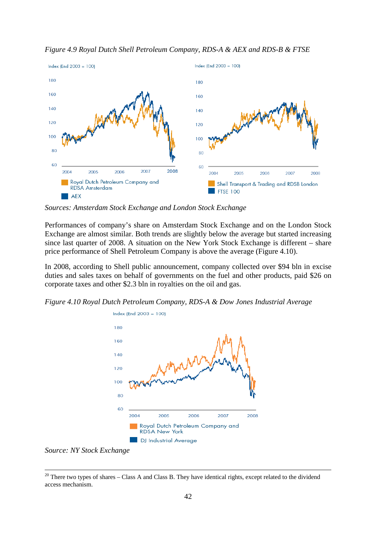

*Figure 4.9 Royal Dutch Shell Petroleum Company, RDS-A & AEX and RDS-B & FTSE* 

*Sources: Amsterdam Stock Exchange and London Stock Exchange* 

Performances of company's share on Amsterdam Stock Exchange and on the London Stock Exchange are almost similar. Both trends are slightly below the average but started increasing since last quarter of 2008. A situation on the New York Stock Exchange is different – share price performance of Shell Petroleum Company is above the average (Figure 4.10).

In 2008, according to Shell public announcement, company collected over \$94 bln in excise duties and sales taxes on behalf of governments on the fuel and other products, paid \$26 on corporate taxes and other \$2.3 bln in royalties on the oil and gas.

*Figure 4.10 Royal Dutch Petroleum Company, RDS-A & Dow Jones Industrial Average* 



*Source: NY Stock Exchange* 

 $\overline{a}$ 

<sup>&</sup>lt;sup>20</sup> There two types of shares – Class A and Class B. They have identical rights, except related to the dividend access mechanism.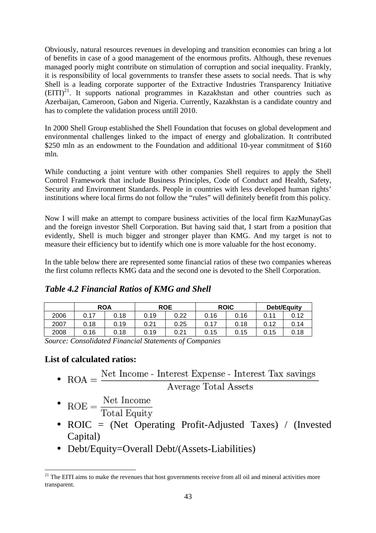Obviously, natural resources revenues in developing and transition economies can bring a lot of benefits in case of a good management of the enormous profits. Although, these revenues managed poorly might contribute on stimulation of corruption and social inequality. Frankly, it is responsibility of local governments to transfer these assets to social needs. That is why Shell is a leading corporate supporter of the Extractive Industries Transparency Initiative  $(EITI)<sup>21</sup>$ . It supports national programmes in Kazakhstan and other countries such as Azerbaijan, Cameroon, Gabon and Nigeria. Currently, Kazakhstan is a candidate country and has to complete the validation process untill 2010.

In 2000 Shell Group established the Shell Foundation that focuses on global development and environmental challenges linked to the impact of energy and globalization. It contributed \$250 mln as an endowment to the Foundation and additional 10-year commitment of \$160 mln.

While conducting a joint venture with other companies Shell requires to apply the Shell Control Framework that include Business Principles, Code of Conduct and Health, Safety, Security and Environment Standards. People in countries with less developed human rights' institutions where local firms do not follow the "rules" will definitely benefit from this policy.

Now I will make an attempt to compare business activities of the local firm KazMunayGas and the foreign investor Shell Corporation. But having said that, I start from a position that evidently, Shell is much bigger and stronger player than KMG. And my target is not to measure their efficiency but to identify which one is more valuable for the host economy.

In the table below there are represented some financial ratios of these two companies whereas the first column reflects KMG data and the second one is devoted to the Shell Corporation.

|      | <b>ROA</b> |      | <b>ROE</b> |      | <b>ROIC</b> |      | <b>Debt/Equity</b> |      |
|------|------------|------|------------|------|-------------|------|--------------------|------|
| 2006 | 0.17       | 0.18 | 0.19       | 0.22 | 0.16        | 0.16 | 0.11               | 0.12 |
| 2007 | 0.18       | 0.19 | 0.21       | 0.25 | 0.17        | 0.18 | 0.12               | 0.14 |
| 2008 | 0.16       | 0.18 | 0.19       | 0.21 | 0.15        | 0.15 | 0.15               | 0.18 |

### *Table 4.2 Financial Ratios of KMG and Shell*

*Source: Consolidated Financial Statements of Companies* 

### **List of calculated ratios:**

• ROA =  $\frac{\text{Net Income - Interest Expression}}{}$  - Interest Tax savings

- $ROE = \frac{Net Income}{Total Equity}$
- ROIC = (Net Operating Profit-Adjusted Taxes) / (Invested Capital)
- Debt/Equity=Overall Debt/(Assets-Liabilities)

 $\overline{a}$  $21$  The EITI aims to make the revenues that host governments receive from all oil and mineral activities more transparent.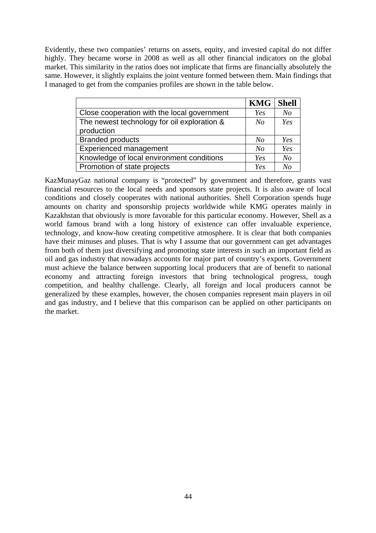Evidently, these two companies' returns on assets, equity, and invested capital do not differ highly. They became worse in 2008 as well as all other financial indicators on the global market. This similarity in the ratios does not implicate that firms are financially absolutely the same. However, it slightly explains the joint venture formed between them. Main findings that I managed to get from the companies profiles are shown in the table below.

|                                             | <b>KMG</b>     | <b>Shell</b>   |
|---------------------------------------------|----------------|----------------|
| Close cooperation with the local government | Yes            | N <sub>O</sub> |
| The newest technology for oil exploration & | N <sub>O</sub> | Yes            |
| production                                  |                |                |
| <b>Branded products</b>                     | N <sub>o</sub> | Yes            |
| <b>Experienced management</b>               | No             | Yes            |
| Knowledge of local environment conditions   | Yes            | N <sub>o</sub> |
| Promotion of state projects                 | Yes            | No             |

KazMunayGaz national company is "protected" by government and therefore, grants vast financial resources to the local needs and sponsors state projects. It is also aware of local conditions and closely cooperates with national authorities. Shell Corporation spends huge amounts on charity and sponsorship projects worldwide while KMG operates mainly in Kazakhstan that obviously is more favorable for this particular economy. However, Shell as a world famous brand with a long history of existence can offer invaluable experience, technology, and know-how creating competitive atmosphere. It is clear that both companies have their minuses and pluses. That is why I assume that our government can get advantages from both of them just diversifying and promoting state interests in such an important field as oil and gas industry that nowadays accounts for major part of country's exports. Government must achieve the balance between supporting local producers that are of benefit to national economy and attracting foreign investors that bring technological progress, tough competition, and healthy challenge. Clearly, all foreign and local producers cannot be generalized by these examples, however, the chosen companies represent main players in oil and gas industry, and I believe that this comparison can be applied on other participants on the market.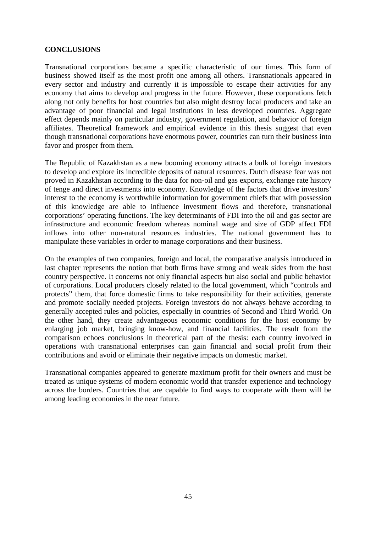#### **CONCLUSIONS**

Transnational corporations became a specific characteristic of our times. This form of business showed itself as the most profit one among all others. Transnationals appeared in every sector and industry and currently it is impossible to escape their activities for any economy that aims to develop and progress in the future. However, these corporations fetch along not only benefits for host countries but also might destroy local producers and take an advantage of poor financial and legal institutions in less developed countries. Aggregate effect depends mainly on particular industry, government regulation, and behavior of foreign affiliates. Theoretical framework and empirical evidence in this thesis suggest that even though transnational corporations have enormous power, countries can turn their business into favor and prosper from them.

The Republic of Kazakhstan as a new booming economy attracts a bulk of foreign investors to develop and explore its incredible deposits of natural resources. Dutch disease fear was not proved in Kazakhstan according to the data for non-oil and gas exports, exchange rate history of tenge and direct investments into economy. Knowledge of the factors that drive investors' interest to the economy is worthwhile information for government chiefs that with possession of this knowledge are able to influence investment flows and therefore, transnational corporations' operating functions. The key determinants of FDI into the oil and gas sector are infrastructure and economic freedom whereas nominal wage and size of GDP affect FDI inflows into other non-natural resources industries. The national government has to manipulate these variables in order to manage corporations and their business.

On the examples of two companies, foreign and local, the comparative analysis introduced in last chapter represents the notion that both firms have strong and weak sides from the host country perspective. It concerns not only financial aspects but also social and public behavior of corporations. Local producers closely related to the local government, which "controls and protects" them, that force domestic firms to take responsibility for their activities, generate and promote socially needed projects. Foreign investors do not always behave according to generally accepted rules and policies, especially in countries of Second and Third World. On the other hand, they create advantageous economic conditions for the host economy by enlarging job market, bringing know-how, and financial facilities. The result from the comparison echoes conclusions in theoretical part of the thesis: each country involved in operations with transnational enterprises can gain financial and social profit from their contributions and avoid or eliminate their negative impacts on domestic market.

Transnational companies appeared to generate maximum profit for their owners and must be treated as unique systems of modern economic world that transfer experience and technology across the borders. Countries that are capable to find ways to cooperate with them will be among leading economies in the near future.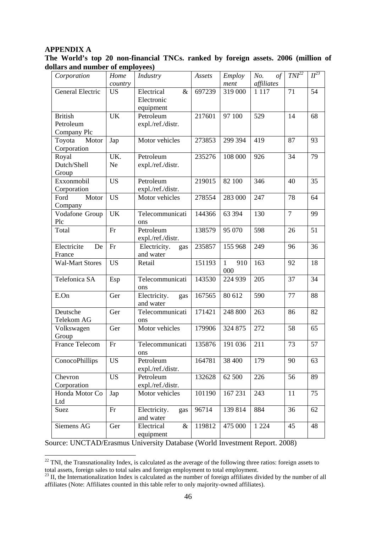#### **APPENDIX A**

 $\overline{a}$ 

|                                  |  |  | The World's top 20 non-financial TNCs. ranked by foreign assets. 2006 (million of |  |  |  |  |  |  |  |  |
|----------------------------------|--|--|-----------------------------------------------------------------------------------|--|--|--|--|--|--|--|--|
| dollars and number of employees) |  |  |                                                                                   |  |  |  |  |  |  |  |  |

| Corporation             | Home       | Industry                       | Assets | <b>Employ</b>       | No.<br>$\circ f$ | $TNI^{22}$     | $II^{23}$ |
|-------------------------|------------|--------------------------------|--------|---------------------|------------------|----------------|-----------|
|                         | country    |                                |        | ment                | affiliates       |                |           |
| <b>General Electric</b> | <b>US</b>  | Electrical<br>$\&$             | 697239 | 319 000             | 1 1 1 7          | 71             | 54        |
|                         |            | Electronic                     |        |                     |                  |                |           |
|                         |            | equipment                      |        |                     |                  |                |           |
| <b>British</b>          | <b>UK</b>  | Petroleum                      | 217601 | 97 100              | 529              | 14             | 68        |
| Petroleum               |            | expl./ref./distr.              |        |                     |                  |                |           |
| Company Plc             |            |                                |        |                     |                  |                |           |
| Toyota<br>Motor         | Jap        | Motor vehicles                 | 273853 | 299 394             | 419              | 87             | 93        |
| Corporation             |            |                                |        |                     |                  |                |           |
| Royal                   | UK.        | Petroleum                      | 235276 | 108 000             | 926              | 34             | 79        |
| Dutch/Shell             | Ne         | expl./ref./distr.              |        |                     |                  |                |           |
| Group                   |            |                                |        |                     |                  |                |           |
| Exxonmobil              | <b>US</b>  | Petroleum                      | 219015 | 82 100              | 346              | 40             | 35        |
| Corporation             |            | expl./ref./distr.              |        |                     |                  |                |           |
| Motor<br>Ford           | <b>US</b>  | Motor vehicles                 | 278554 | 283 000             | 247              | 78             | 64        |
| Company                 |            |                                |        |                     |                  |                |           |
| Vodafone Group          | <b>UK</b>  | Telecommunicati                | 144366 | 63 394              | 130              | $\overline{7}$ | 99        |
| Plc                     |            | ons                            |        |                     |                  |                |           |
| Total                   | Fr         | Petroleum                      | 138579 | 95 070              | 598              | 26             | 51        |
|                         |            | expl./ref./distr.              |        |                     |                  |                |           |
| Electricite<br>De       | Fr         | Electricity.                   | 235857 | 155 968             | 249              | 96             | 36        |
| France                  |            | gas<br>and water               |        |                     |                  |                |           |
| <b>Wal-Mart Stores</b>  | <b>US</b>  | Retail                         | 151193 | $\mathbf{1}$<br>910 | 163              | 92             | 18        |
|                         |            |                                |        | 000                 |                  |                |           |
| Telefonica SA           |            | Telecommunicati                | 143530 | 224 939             | 205              | 37             | 34        |
|                         | Esp<br>ons |                                |        |                     |                  |                |           |
| E.On                    | Ger        | Electricity.<br>gas            | 167565 | 80 612              | 590              | 77             | 88        |
|                         |            | and water                      |        |                     |                  |                |           |
| Deutsche                | Ger        | Telecommunicati                | 171421 | 248 800             | 263              | 86             | 82        |
| Telekom AG              |            | ons                            |        |                     |                  |                |           |
|                         | Ger        | Motor vehicles                 | 179906 | 324 875             | 272              | 58             | 65        |
| Volkswagen<br>Group     |            |                                |        |                     |                  |                |           |
| <b>France Telecom</b>   | Fr         | Telecommunicati                | 135876 | 191 036             | 211              | 73             | 57        |
|                         |            |                                |        |                     |                  |                |           |
|                         | <b>US</b>  | ons                            |        |                     |                  |                |           |
| ConocoPhillips          |            | Petroleum                      | 164781 | 38 400              | 179              | 90             | 63        |
|                         |            | expl./ref./distr.<br>Petroleum |        |                     |                  |                |           |
| Chevron                 | <b>US</b>  |                                | 132628 | 62 500              | 226              | 56             | 89        |
| Corporation             |            | expl./ref./distr.              |        |                     |                  |                |           |
| Honda Motor Co          | Jap        | Motor vehicles                 | 101190 | 167 231             | 243              | 11             | 75        |
| Ltd                     |            |                                |        |                     |                  |                |           |
| Suez                    | Fr         | Electricity.<br>gas            | 96714  | 139 814             | 884              | 36             | 62        |
|                         |            | and water                      |        |                     |                  |                |           |
| Siemens AG              | Ger        | Electrical<br>$\&$             | 119812 | 475 000             | 1 2 2 4          | 45             | 48        |
|                         |            | equipment                      |        |                     |                  |                |           |

Source: UNCTAD/Erasmus University Database (World Investment Report. 2008)

 $22$  TNI, the Transnationality Index, is calculated as the average of the following three ratios: foreign assets to total assets, foreign sales to total sales and foreign employment to total employment.

 $^{23}$  II, the Internationalization Index is calculated as the number of foreign affiliates divided by the number of all affiliates (Note: Affiliates counted in this table refer to only majority-owned affiliates).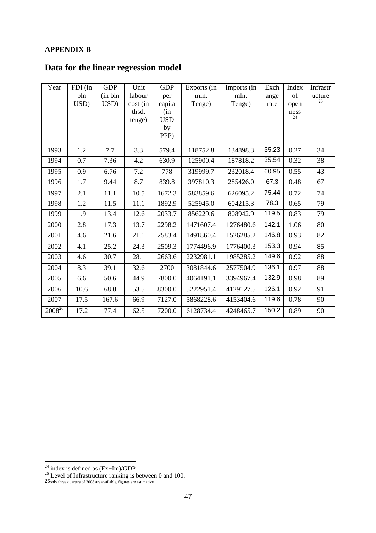#### **APPENDIX B**

### **Data for the linear regression model**

| Year        | FDI (in | <b>GDP</b> | Unit     | <b>GDP</b> | Exports (in | Imports (in | Exch  | Index      | Infrastr |
|-------------|---------|------------|----------|------------|-------------|-------------|-------|------------|----------|
|             | bln     | (in bh     | labour   | per        | mln.        | mln.        | ange  | of         | ucture   |
|             | USD)    | USD)       | cost (in | capita     | Tenge)      | Tenge)      | rate  | open       | 25       |
|             |         |            | thsd.    | (in        |             |             |       | ness<br>24 |          |
|             |         |            | tenge)   | <b>USD</b> |             |             |       |            |          |
|             |         |            |          | by         |             |             |       |            |          |
|             |         |            |          | PPP)       |             |             |       |            |          |
| 1993        | 1.2     | 7.7        | 3.3      | 579.4      | 118752.8    | 134898.3    | 35.23 | 0.27       | 34       |
| 1994        | 0.7     | 7.36       | 4.2      | 630.9      | 125900.4    | 187818.2    | 35.54 | 0.32       | 38       |
| 1995        | 0.9     | 6.76       | 7.2      | 778        | 319999.7    | 232018.4    | 60.95 | 0.55       | 43       |
| 1996        | 1.7     | 9.44       | 8.7      | 839.8      | 397810.3    | 285426.0    | 67.3  | 0.48       | 67       |
| 1997        | 2.1     | 11.1       | 10.5     | 1672.3     | 583859.6    | 626095.2    | 75.44 | 0.72       | 74       |
| 1998        | 1.2     | 11.5       | 11.1     | 1892.9     | 525945.0    | 604215.3    | 78.3  | 0.65       | 79       |
| 1999        | 1.9     | 13.4       | 12.6     | 2033.7     | 856229.6    | 808942.9    | 119.5 | 0.83       | 79       |
| 2000        | 2.8     | 17.3       | 13.7     | 2298.2     | 1471607.4   | 1276480.6   | 142.1 | 1.06       | 80       |
| 2001        | 4.6     | 21.6       | 21.1     | 2583.4     | 1491860.4   | 1526285.2   | 146.8 | 0.93       | 82       |
| 2002        | 4.1     | 25.2       | 24.3     | 2509.3     | 1774496.9   | 1776400.3   | 153.3 | 0.94       | 85       |
| 2003        | 4.6     | 30.7       | 28.1     | 2663.6     | 2232981.1   | 1985285.2   | 149.6 | 0.92       | 88       |
| 2004        | 8.3     | 39.1       | 32.6     | 2700       | 3081844.6   | 2577504.9   | 136.1 | 0.97       | 88       |
| 2005        | 6.6     | 50.6       | 44.9     | 7800.0     | 4064191.1   | 3394967.4   | 132.9 | 0.98       | 89       |
| 2006        | 10.6    | 68.0       | 53.5     | 8300.0     | 5222951.4   | 4129127.5   | 126.1 | 0.92       | 91       |
| 2007        | 17.5    | 167.6      | 66.9     | 7127.0     | 5868228.6   | 4153404.6   | 119.6 | 0.78       | 90       |
| $2008^{26}$ | 17.2    | 77.4       | 62.5     | 7200.0     | 6128734.4   | 4248465.7   | 150.2 | 0.89       | 90       |

 $\overline{a}$ 

<sup>&</sup>lt;sup>24</sup> index is defined as  $(Ex+Im)/GDP$ 

 $25$  Level of Infrastructure ranking is between 0 and 100.

<sup>26</sup>only three quarters of 2008 are available, figures are estimative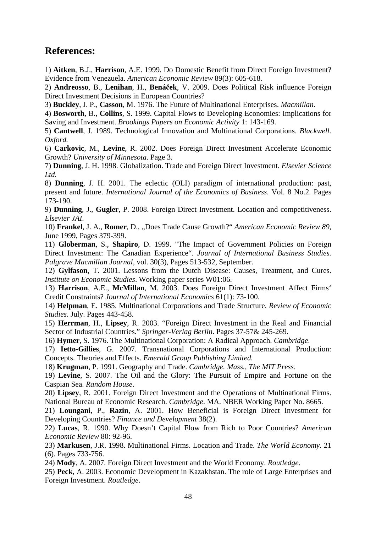### **References:**

1) **Aitken**, B.J., **Harrison**, A.E. 1999. Do Domestic Benefit from Direct Foreign Investment? Evidence from Venezuela. *American Economic Review* 89(3): 605-618.

2) **Andreosso**, B., **Lenihan**, H., **Bená**č**ek**, V. 2009. Does Political Risk influence Foreign Direct Investment Decisions in European Countries?

3) **Buckley**, J. P., **Casson**, M. 1976. The Future of Multinational Enterprises. *Macmillan*.

4) **Bosworth**, B., **Collins**, S. 1999. Capital Flows to Developing Economies: Implications for Saving and Investment. *Brookings Papers on Economic Activity* 1: 143-169.

5) **Cantwell**, J. 1989. Technological Innovation and Multinational Corporations. *Blackwell. Oxford.*

6) **Carkovic**, M., **Levine**, R. 2002. Does Foreign Direct Investment Accelerate Economic Growth? *University of Minnesota*. Page 3.

7) **Dunning**, J. H. 1998. Globalization. Trade and Foreign Direct Investment. *Elsevier Science Ltd.*

8) **Dunning**, J. H. 2001. The eclectic (OLI) paradigm of international production: past, present and future. *International Journal of the Economics of Business*. Vol. 8 No.2. Pages 173-190.

9) **Dunning**, J., **Gugler**, P. 2008. Foreign Direct Investment. Location and competitiveness. *Elsevier JAI*.

10) **Frankel**, J. A., **Romer**, D., "Does Trade Cause Growth?" *American Economic Review 89*, June 1999, Pages 379-399.

11) **Globerman**, S., **Shapiro**, D. 1999. "The Impact of Government Policies on Foreign Direct Investment: The Canadian Experience". *Journal of International Business Studies. Palgrave Macmillan Journal*, vol. 30(3), Pages 513-532, September.

12) **Gylfason**, T. 2001. Lessons from the Dutch Disease: Causes, Treatment, and Cures. *Institute on Economic Studies*. Working paper series W01:06.

13) **Harrison**, A.E., **McMillan**, M. 2003. Does Foreign Direct Investment Affect Firms' Credit Constraints? *Journal of International Economics* 61(1): 73-100.

14) **Helpman**, E. 1985. Multinational Corporations and Trade Structure. *Review of Economic Studies*. July. Pages 443-458.

15) **Herrman**, H., **Lipsey**, R. 2003. "Foreign Direct Investment in the Real and Financial Sector of Industrial Countries." *Springer-Verlag Berlin*. Pages 37-57& 245-269.

16) **Hymer**, S. 1976. The Multinational Corporation: A Radical Approach. *Cambridge*.

17) **Ietto-Gillies**, G. 2007. Transnational Corporations and International Production: Concepts. Theories and Effects. *Emerald Group Publishing Limited.*

18) **Krugman**, P. 1991. Geography and Trade. *Cambridge. Mass., The MIT Press*.

19) **Levine**, S. 2007. The Oil and the Glory: The Pursuit of Empire and Fortune on the Caspian Sea. *Random House*.

20) **Lipsey**, R. 2001. Foreign Direct Investment and the Operations of Multinational Firms. National Bureau of Economic Research. *Cambridge*. MA. NBER Working Paper No. 8665.

21) **Loungani**, P., **Razin**, A. 2001. How Beneficial is Foreign Direct Investment for Developing Countries? *Finance and Development* 38(2).

22) **Lucas**, R. 1990. Why Doesn't Capital Flow from Rich to Poor Countries? *American Economic Review* 80: 92-96.

23) **Markusen**, J.R. 1998. Multinational Firms. Location and Trade. *The World Economy*. 21 (6). Pages 733-756.

24) **Mody**, A. 2007. Foreign Direct Investment and the World Economy. *Routledge*.

25) **Peck**, A. 2003. Economic Development in Kazakhstan. The role of Large Enterprises and Foreign Investment. *Routledge*.